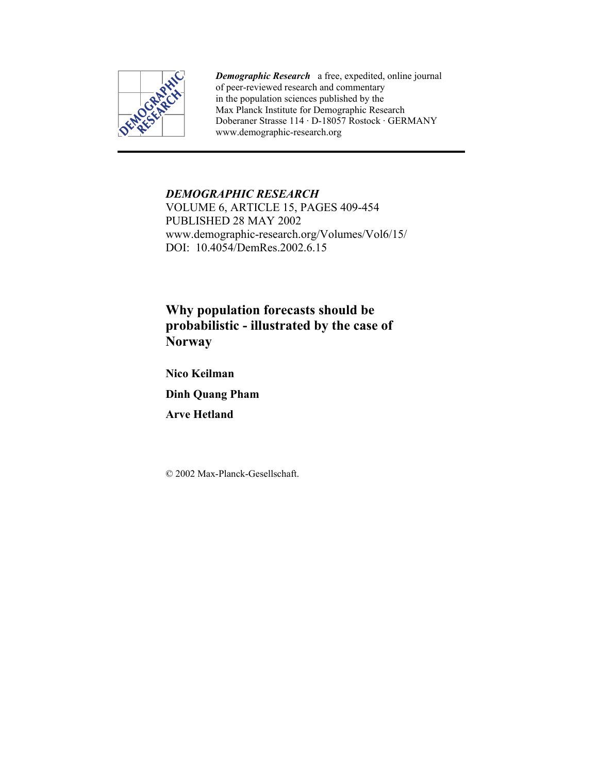

*Demographic Research* a free, expedited, online journal of peer-reviewed research and commentary in the population sciences published by the Max Planck Institute for Demographic Research Doberaner Strasse 114 · D-18057 Rostock · GERMANY www.demographic-research.org

# *DEMOGRAPHIC RESEARCH*

VOLUME 6, ARTICLE 15, PAGES 409-454 PUBLISHED 28 MAY 2002 www.demographic-research.org/Volumes/Vol6/15/ DOI: 10.4054/DemRes. 2002. 6.15

# **Why population forecasts should be probabilistic - illustrated by the case of Norway**

**Nico Keilman** 

**Dinh Quang Pham** 

**Arve Hetland** 

© 2002 Max-Planck-Gesellschaft.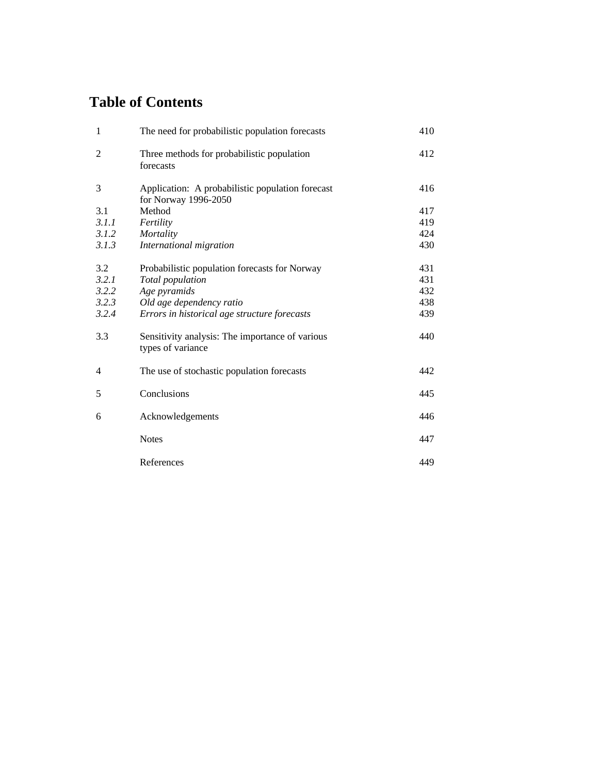# **Table of Contents**

| 1              | The need for probabilistic population forecasts                          | 410 |
|----------------|--------------------------------------------------------------------------|-----|
| $\overline{2}$ | Three methods for probabilistic population<br>forecasts                  | 412 |
| 3              | Application: A probabilistic population forecast<br>for Norway 1996-2050 | 416 |
| 3.1            | Method                                                                   | 417 |
| 3.1.1          | Fertility                                                                | 419 |
| 3.1.2          | Mortality                                                                | 424 |
| 3.1.3          | International migration                                                  | 430 |
| 3.2            | Probabilistic population forecasts for Norway                            | 431 |
| 3.2.1          | Total population                                                         | 431 |
| 3.2.2          | Age pyramids                                                             | 432 |
| 3.2.3          | Old age dependency ratio                                                 | 438 |
| 3.2.4          | Errors in historical age structure forecasts                             | 439 |
| 3.3            | Sensitivity analysis: The importance of various<br>types of variance     | 440 |
| 4              | The use of stochastic population forecasts                               | 442 |
| 5              | Conclusions                                                              | 445 |
| 6              | Acknowledgements                                                         | 446 |
|                | <b>Notes</b>                                                             | 447 |
|                | References                                                               | 449 |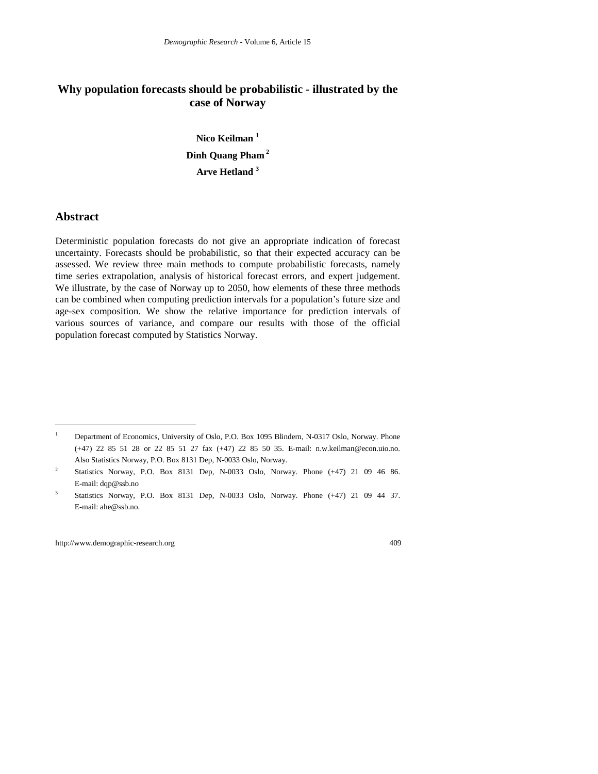# **Why population forecasts should be probabilistic - illustrated by the case of Norway**

**Nico Keilman <sup>1</sup> Dinh Quang Pham 2 Arve Hetland <sup>3</sup>**

## **Abstract**

 $\overline{a}$ 

Deterministic population forecasts do not give an appropriate indication of forecast uncertainty. Forecasts should be probabilistic, so that their expected accuracy can be assessed. We review three main methods to compute probabilistic forecasts, namely time series extrapolation, analysis of historical forecast errors, and expert judgement. We illustrate, by the case of Norway up to 2050, how elements of these three methods can be combined when computing prediction intervals for a population's future size and age-sex composition. We show the relative importance for prediction intervals of various sources of variance, and compare our results with those of the official population forecast computed by Statistics Norway.

<sup>1</sup> Department of Economics, University of Oslo, P.O. Box 1095 Blindern, N-0317 Oslo, Norway. Phone (+47) 22 85 51 28 or 22 85 51 27 fax (+47) 22 85 50 35. E-mail: n.w.keilman@econ.uio.no. Also Statistics Norway, P.O. Box 8131 Dep, N-0033 Oslo, Norway.

<sup>2</sup> Statistics Norway, P.O. Box 8131 Dep, N-0033 Oslo, Norway. Phone (+47) 21 09 46 86. E-mail: dqp@ssb.no

<sup>3</sup> Statistics Norway, P.O. Box 8131 Dep, N-0033 Oslo, Norway. Phone (+47) 21 09 44 37. E-mail: ahe@ssb.no.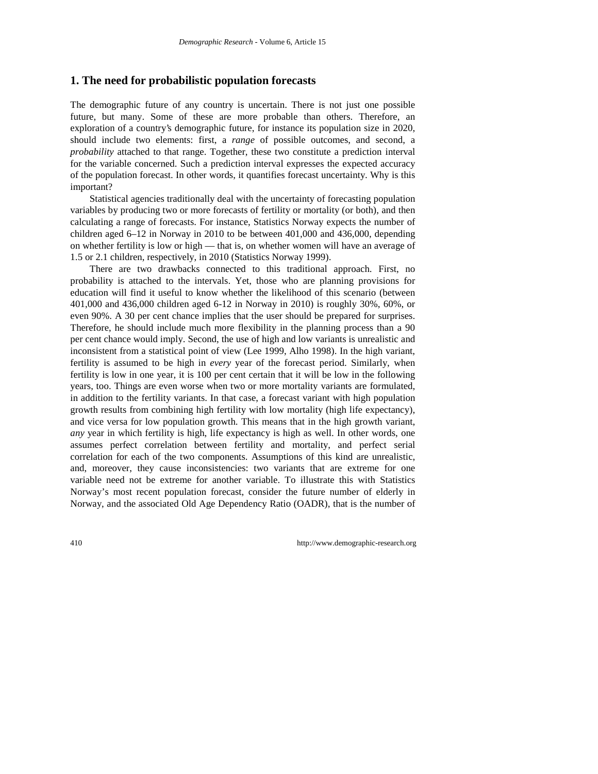### **1. The need for probabilistic population forecasts**

The demographic future of any country is uncertain. There is not just one possible future, but many. Some of these are more probable than others. Therefore, an exploration of a country's demographic future, for instance its population size in 2020, should include two elements: first, a *range* of possible outcomes, and second, a *probability* attached to that range. Together, these two constitute a prediction interval for the variable concerned. Such a prediction interval expresses the expected accuracy of the population forecast. In other words, it quantifies forecast uncertainty. Why is this important?

Statistical agencies traditionally deal with the uncertainty of forecasting population variables by producing two or more forecasts of fertility or mortality (or both), and then calculating a range of forecasts. For instance, Statistics Norway expects the number of children aged 6–12 in Norway in 2010 to be between 401,000 and 436,000, depending on whether fertility is low or high — that is, on whether women will have an average of 1.5 or 2.1 children, respectively, in 2010 (Statistics Norway 1999).

There are two drawbacks connected to this traditional approach. First, no probability is attached to the intervals. Yet, those who are planning provisions for education will find it useful to know whether the likelihood of this scenario (between 401,000 and 436,000 children aged 6-12 in Norway in 2010) is roughly 30%, 60%, or even 90%. A 30 per cent chance implies that the user should be prepared for surprises. Therefore, he should include much more flexibility in the planning process than a 90 per cent chance would imply. Second, the use of high and low variants is unrealistic and inconsistent from a statistical point of view (Lee 1999, Alho 1998). In the high variant, fertility is assumed to be high in *every* year of the forecast period. Similarly, when fertility is low in one year, it is 100 per cent certain that it will be low in the following years, too. Things are even worse when two or more mortality variants are formulated, in addition to the fertility variants. In that case, a forecast variant with high population growth results from combining high fertility with low mortality (high life expectancy), and vice versa for low population growth. This means that in the high growth variant, *any* year in which fertility is high, life expectancy is high as well. In other words, one assumes perfect correlation between fertility and mortality, and perfect serial correlation for each of the two components. Assumptions of this kind are unrealistic, and, moreover, they cause inconsistencies: two variants that are extreme for one variable need not be extreme for another variable. To illustrate this with Statistics Norway's most recent population forecast, consider the future number of elderly in Norway, and the associated Old Age Dependency Ratio (OADR), that is the number of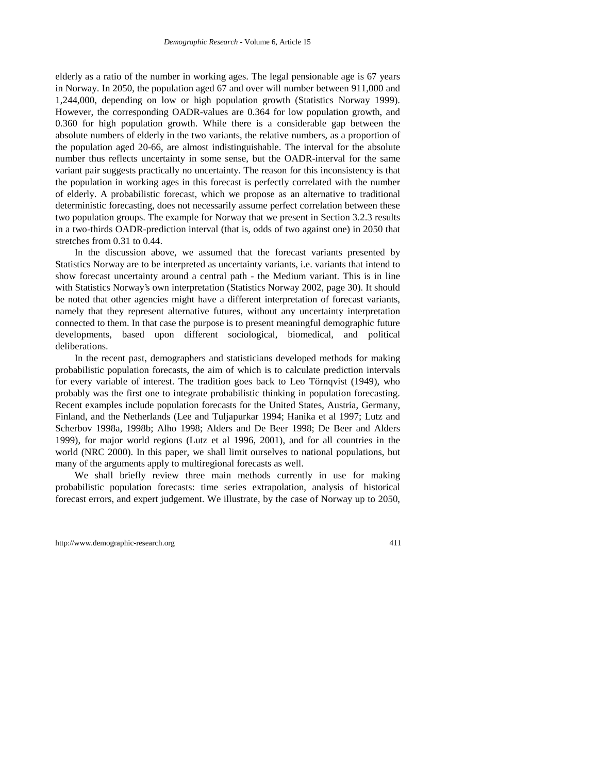elderly as a ratio of the number in working ages. The legal pensionable age is 67 years in Norway. In 2050, the population aged 67 and over will number between 911,000 and 1,244,000, depending on low or high population growth (Statistics Norway 1999). However, the corresponding OADR-values are 0.364 for low population growth, and 0.360 for high population growth. While there is a considerable gap between the absolute numbers of elderly in the two variants, the relative numbers, as a proportion of the population aged 20-66, are almost indistinguishable. The interval for the absolute number thus reflects uncertainty in some sense, but the OADR-interval for the same variant pair suggests practically no uncertainty. The reason for this inconsistency is that the population in working ages in this forecast is perfectly correlated with the number of elderly. A probabilistic forecast, which we propose as an alternative to traditional deterministic forecasting, does not necessarily assume perfect correlation between these two population groups. The example for Norway that we present in Section 3.2.3 results in a two-thirds OADR-prediction interval (that is, odds of two against one) in 2050 that stretches from 0.31 to 0.44.

In the discussion above, we assumed that the forecast variants presented by Statistics Norway are to be interpreted as uncertainty variants, i.e. variants that intend to show forecast uncertainty around a central path - the Medium variant. This is in line with Statistics Norway's own interpretation (Statistics Norway 2002, page 30). It should be noted that other agencies might have a different interpretation of forecast variants, namely that they represent alternative futures, without any uncertainty interpretation connected to them. In that case the purpose is to present meaningful demographic future developments, based upon different sociological, biomedical, and political deliberations.

In the recent past, demographers and statisticians developed methods for making probabilistic population forecasts, the aim of which is to calculate prediction intervals for every variable of interest. The tradition goes back to Leo Törnqvist (1949), who probably was the first one to integrate probabilistic thinking in population forecasting. Recent examples include population forecasts for the United States, Austria, Germany, Finland, and the Netherlands (Lee and Tuljapurkar 1994; Hanika et al 1997; Lutz and Scherbov 1998a, 1998b; Alho 1998; Alders and De Beer 1998; De Beer and Alders 1999), for major world regions (Lutz et al 1996, 2001), and for all countries in the world (NRC 2000). In this paper, we shall limit ourselves to national populations, but many of the arguments apply to multiregional forecasts as well.

We shall briefly review three main methods currently in use for making probabilistic population forecasts: time series extrapolation, analysis of historical forecast errors, and expert judgement. We illustrate, by the case of Norway up to 2050,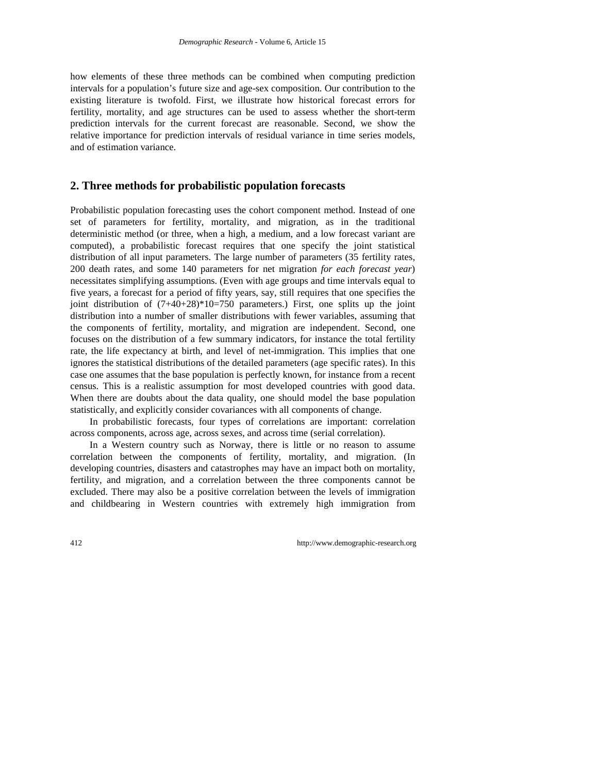how elements of these three methods can be combined when computing prediction intervals for a population's future size and age-sex composition. Our contribution to the existing literature is twofold. First, we illustrate how historical forecast errors for fertility, mortality, and age structures can be used to assess whether the short-term prediction intervals for the current forecast are reasonable. Second, we show the relative importance for prediction intervals of residual variance in time series models, and of estimation variance.

# **2. Three methods for probabilistic population forecasts**

Probabilistic population forecasting uses the cohort component method. Instead of one set of parameters for fertility, mortality, and migration, as in the traditional deterministic method (or three, when a high, a medium, and a low forecast variant are computed), a probabilistic forecast requires that one specify the joint statistical distribution of all input parameters. The large number of parameters (35 fertility rates, 200 death rates, and some 140 parameters for net migration *for each forecast year*) necessitates simplifying assumptions. (Even with age groups and time intervals equal to five years, a forecast for a period of fifty years, say, still requires that one specifies the joint distribution of  $(7+40+28)*10=750$  parameters.) First, one splits up the joint distribution into a number of smaller distributions with fewer variables, assuming that the components of fertility, mortality, and migration are independent. Second, one focuses on the distribution of a few summary indicators, for instance the total fertility rate, the life expectancy at birth, and level of net-immigration. This implies that one ignores the statistical distributions of the detailed parameters (age specific rates). In this case one assumes that the base population is perfectly known, for instance from a recent census. This is a realistic assumption for most developed countries with good data. When there are doubts about the data quality, one should model the base population statistically, and explicitly consider covariances with all components of change.

In probabilistic forecasts, four types of correlations are important: correlation across components, across age, across sexes, and across time (serial correlation).

In a Western country such as Norway, there is little or no reason to assume correlation between the components of fertility, mortality, and migration. (In developing countries, disasters and catastrophes may have an impact both on mortality, fertility, and migration, and a correlation between the three components cannot be excluded. There may also be a positive correlation between the levels of immigration and childbearing in Western countries with extremely high immigration from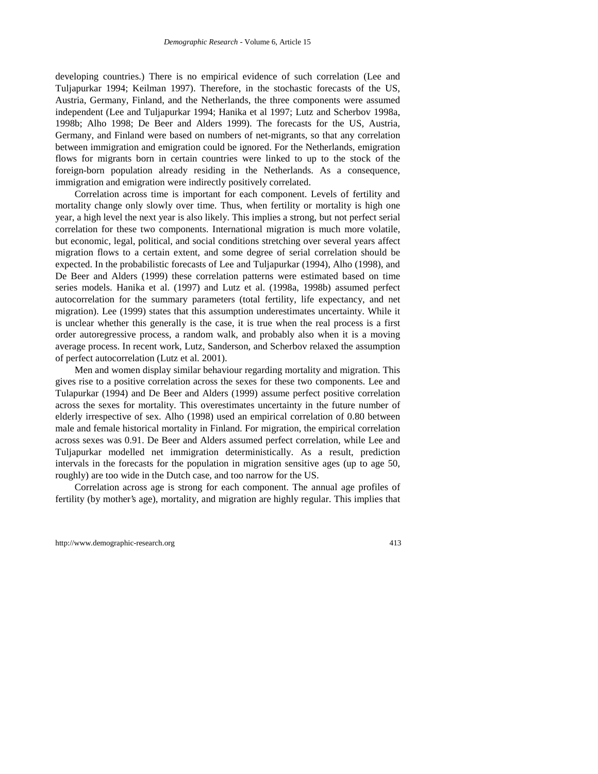developing countries.) There is no empirical evidence of such correlation (Lee and Tuljapurkar 1994; Keilman 1997). Therefore, in the stochastic forecasts of the US, Austria, Germany, Finland, and the Netherlands, the three components were assumed independent (Lee and Tuljapurkar 1994; Hanika et al 1997; Lutz and Scherbov 1998a, 1998b; Alho 1998; De Beer and Alders 1999). The forecasts for the US, Austria, Germany, and Finland were based on numbers of net-migrants, so that any correlation between immigration and emigration could be ignored. For the Netherlands, emigration flows for migrants born in certain countries were linked to up to the stock of the foreign-born population already residing in the Netherlands. As a consequence, immigration and emigration were indirectly positively correlated.

Correlation across time is important for each component. Levels of fertility and mortality change only slowly over time. Thus, when fertility or mortality is high one year, a high level the next year is also likely. This implies a strong, but not perfect serial correlation for these two components. International migration is much more volatile, but economic, legal, political, and social conditions stretching over several years affect migration flows to a certain extent, and some degree of serial correlation should be expected. In the probabilistic forecasts of Lee and Tuljapurkar (1994), Alho (1998), and De Beer and Alders (1999) these correlation patterns were estimated based on time series models. Hanika et al. (1997) and Lutz et al. (1998a, 1998b) assumed perfect autocorrelation for the summary parameters (total fertility, life expectancy, and net migration). Lee (1999) states that this assumption underestimates uncertainty. While it is unclear whether this generally is the case, it is true when the real process is a first order autoregressive process, a random walk, and probably also when it is a moving average process. In recent work, Lutz, Sanderson, and Scherbov relaxed the assumption of perfect autocorrelation (Lutz et al. 2001).

Men and women display similar behaviour regarding mortality and migration. This gives rise to a positive correlation across the sexes for these two components. Lee and Tulapurkar (1994) and De Beer and Alders (1999) assume perfect positive correlation across the sexes for mortality. This overestimates uncertainty in the future number of elderly irrespective of sex. Alho (1998) used an empirical correlation of 0.80 between male and female historical mortality in Finland. For migration, the empirical correlation across sexes was 0.91. De Beer and Alders assumed perfect correlation, while Lee and Tuljapurkar modelled net immigration deterministically. As a result, prediction intervals in the forecasts for the population in migration sensitive ages (up to age 50, roughly) are too wide in the Dutch case, and too narrow for the US.

Correlation across age is strong for each component. The annual age profiles of fertility (by mother's age), mortality, and migration are highly regular. This implies that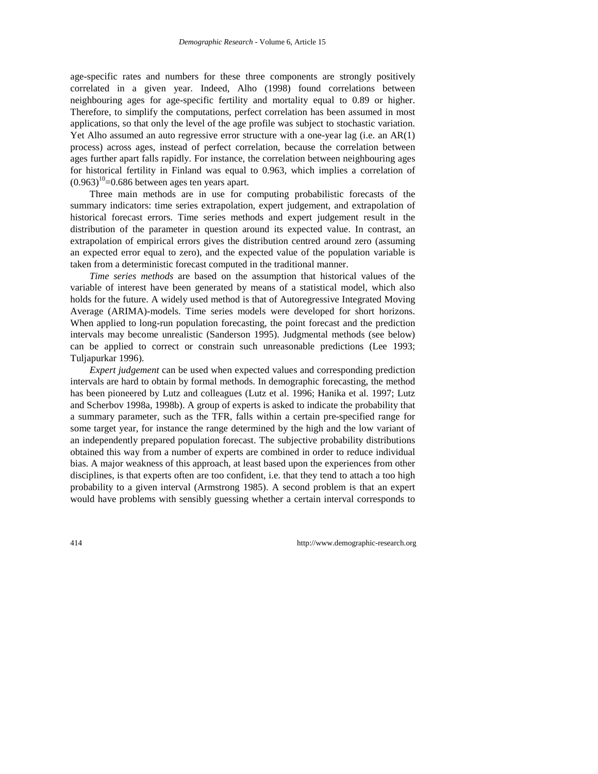age-specific rates and numbers for these three components are strongly positively correlated in a given year. Indeed, Alho (1998) found correlations between neighbouring ages for age-specific fertility and mortality equal to 0.89 or higher. Therefore, to simplify the computations, perfect correlation has been assumed in most applications, so that only the level of the age profile was subject to stochastic variation. Yet Alho assumed an auto regressive error structure with a one-year lag (i.e. an AR(1) process) across ages, instead of perfect correlation, because the correlation between ages further apart falls rapidly. For instance, the correlation between neighbouring ages for historical fertility in Finland was equal to 0.963, which implies a correlation of  $(0.963)^{10}$ =0.686 between ages ten years apart.

Three main methods are in use for computing probabilistic forecasts of the summary indicators: time series extrapolation, expert judgement, and extrapolation of historical forecast errors. Time series methods and expert judgement result in the distribution of the parameter in question around its expected value. In contrast, an extrapolation of empirical errors gives the distribution centred around zero (assuming an expected error equal to zero), and the expected value of the population variable is taken from a deterministic forecast computed in the traditional manner.

*Time series methods* are based on the assumption that historical values of the variable of interest have been generated by means of a statistical model, which also holds for the future. A widely used method is that of Autoregressive Integrated Moving Average (ARIMA)-models. Time series models were developed for short horizons. When applied to long-run population forecasting, the point forecast and the prediction intervals may become unrealistic (Sanderson 1995). Judgmental methods (see below) can be applied to correct or constrain such unreasonable predictions (Lee 1993; Tuljapurkar 1996).

*Expert judgement* can be used when expected values and corresponding prediction intervals are hard to obtain by formal methods. In demographic forecasting, the method has been pioneered by Lutz and colleagues (Lutz et al. 1996; Hanika et al. 1997; Lutz and Scherbov 1998a, 1998b). A group of experts is asked to indicate the probability that a summary parameter, such as the TFR, falls within a certain pre-specified range for some target year, for instance the range determined by the high and the low variant of an independently prepared population forecast. The subjective probability distributions obtained this way from a number of experts are combined in order to reduce individual bias. A major weakness of this approach, at least based upon the experiences from other disciplines, is that experts often are too confident, i.e. that they tend to attach a too high probability to a given interval (Armstrong 1985). A second problem is that an expert would have problems with sensibly guessing whether a certain interval corresponds to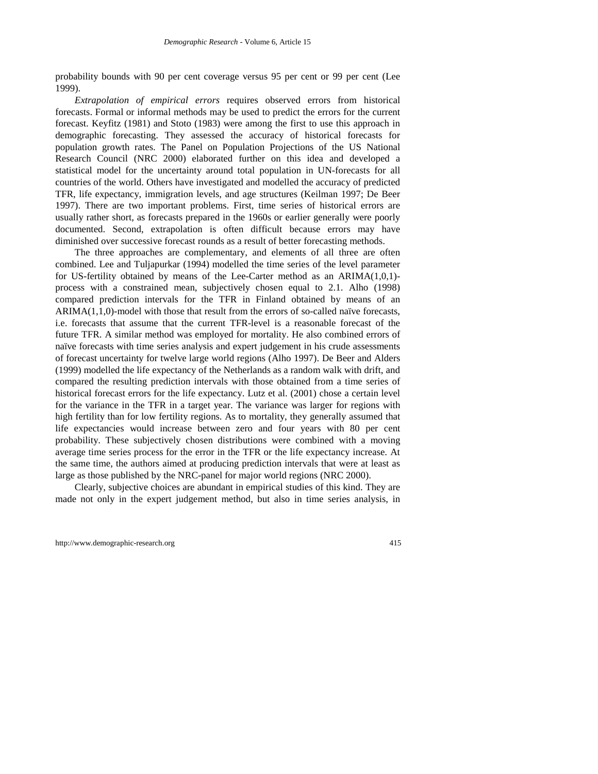probability bounds with 90 per cent coverage versus 95 per cent or 99 per cent (Lee 1999).

*Extrapolation of empirical errors* requires observed errors from historical forecasts. Formal or informal methods may be used to predict the errors for the current forecast. Keyfitz (1981) and Stoto (1983) were among the first to use this approach in demographic forecasting. They assessed the accuracy of historical forecasts for population growth rates. The Panel on Population Projections of the US National Research Council (NRC 2000) elaborated further on this idea and developed a statistical model for the uncertainty around total population in UN-forecasts for all countries of the world. Others have investigated and modelled the accuracy of predicted TFR, life expectancy, immigration levels, and age structures (Keilman 1997; De Beer 1997). There are two important problems. First, time series of historical errors are usually rather short, as forecasts prepared in the 1960s or earlier generally were poorly documented. Second, extrapolation is often difficult because errors may have diminished over successive forecast rounds as a result of better forecasting methods.

The three approaches are complementary, and elements of all three are often combined. Lee and Tuljapurkar (1994) modelled the time series of the level parameter for US-fertility obtained by means of the Lee-Carter method as an ARIMA(1,0,1) process with a constrained mean, subjectively chosen equal to 2.1. Alho (1998) compared prediction intervals for the TFR in Finland obtained by means of an ARIMA(1,1,0)-model with those that result from the errors of so-called naïve forecasts, i.e. forecasts that assume that the current TFR-level is a reasonable forecast of the future TFR. A similar method was employed for mortality. He also combined errors of naïve forecasts with time series analysis and expert judgement in his crude assessments of forecast uncertainty for twelve large world regions (Alho 1997). De Beer and Alders (1999) modelled the life expectancy of the Netherlands as a random walk with drift, and compared the resulting prediction intervals with those obtained from a time series of historical forecast errors for the life expectancy. Lutz et al. (2001) chose a certain level for the variance in the TFR in a target year. The variance was larger for regions with high fertility than for low fertility regions. As to mortality, they generally assumed that life expectancies would increase between zero and four years with 80 per cent probability. These subjectively chosen distributions were combined with a moving average time series process for the error in the TFR or the life expectancy increase. At the same time, the authors aimed at producing prediction intervals that were at least as large as those published by the NRC-panel for major world regions (NRC 2000).

Clearly, subjective choices are abundant in empirical studies of this kind. They are made not only in the expert judgement method, but also in time series analysis, in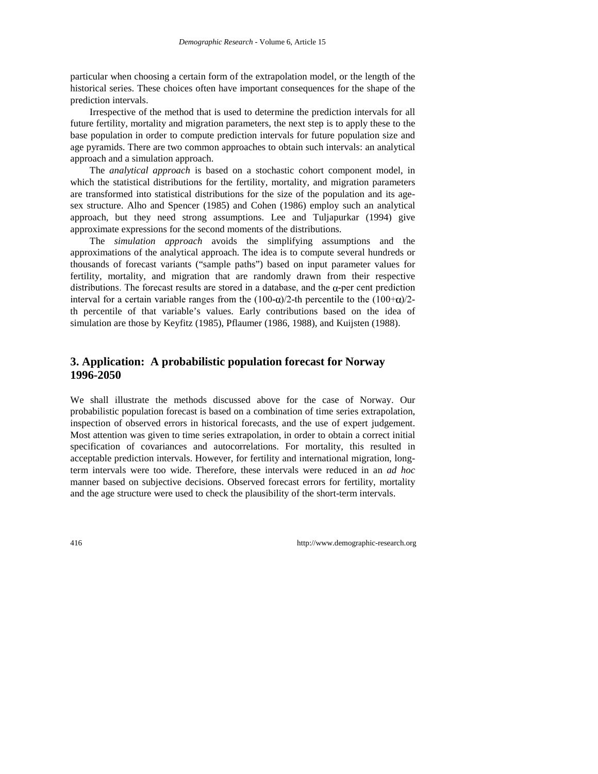particular when choosing a certain form of the extrapolation model, or the length of the historical series. These choices often have important consequences for the shape of the prediction intervals.

Irrespective of the method that is used to determine the prediction intervals for all future fertility, mortality and migration parameters, the next step is to apply these to the base population in order to compute prediction intervals for future population size and age pyramids. There are two common approaches to obtain such intervals: an analytical approach and a simulation approach.

The *analytical approach* is based on a stochastic cohort component model, in which the statistical distributions for the fertility, mortality, and migration parameters are transformed into statistical distributions for the size of the population and its agesex structure. Alho and Spencer (1985) and Cohen (1986) employ such an analytical approach, but they need strong assumptions. Lee and Tuljapurkar (1994) give approximate expressions for the second moments of the distributions.

The *simulation approach* avoids the simplifying assumptions and the approximations of the analytical approach. The idea is to compute several hundreds or thousands of forecast variants ("sample paths") based on input parameter values for fertility, mortality, and migration that are randomly drawn from their respective distributions. The forecast results are stored in a database, and the  $\alpha$ -per cent prediction interval for a certain variable ranges from the  $(100-\alpha)/2$ -th percentile to the  $(100+\alpha)/2$ th percentile of that variable's values. Early contributions based on the idea of simulation are those by Keyfitz (1985), Pflaumer (1986, 1988), and Kuijsten (1988).

# **3. Application: A probabilistic population forecast for Norway 1996-2050**

We shall illustrate the methods discussed above for the case of Norway. Our probabilistic population forecast is based on a combination of time series extrapolation, inspection of observed errors in historical forecasts, and the use of expert judgement. Most attention was given to time series extrapolation, in order to obtain a correct initial specification of covariances and autocorrelations. For mortality, this resulted in acceptable prediction intervals. However, for fertility and international migration, longterm intervals were too wide. Therefore, these intervals were reduced in an *ad hoc* manner based on subjective decisions. Observed forecast errors for fertility, mortality and the age structure were used to check the plausibility of the short-term intervals.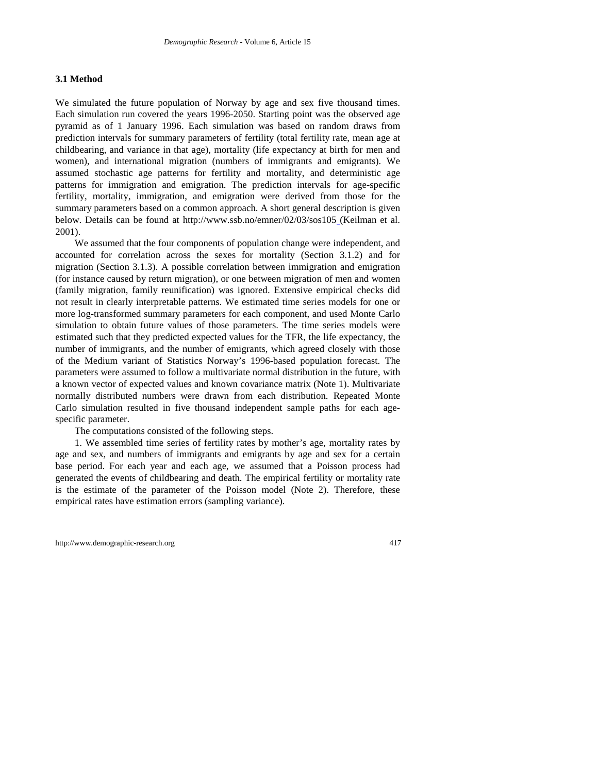#### **3.1 Method**

We simulated the future population of Norway by age and sex five thousand times. Each simulation run covered the years 1996-2050. Starting point was the observed age pyramid as of 1 January 1996. Each simulation was based on random draws from prediction intervals for summary parameters of fertility (total fertility rate, mean age at childbearing, and variance in that age), mortality (life expectancy at birth for men and women), and international migration (numbers of immigrants and emigrants). We assumed stochastic age patterns for fertility and mortality, and deterministic age patterns for immigration and emigration. The prediction intervals for age-specific fertility, mortality, immigration, and emigration were derived from those for the summary parameters based on a common approach. A short general description is given below. Details can be found at http://www.ssb.no/emner/02/03/sos105 (Keilman et al. 2001).

We assumed that the four components of population change were independent, and accounted for correlation across the sexes for mortality (Section 3.1.2) and for migration (Section 3.1.3). A possible correlation between immigration and emigration (for instance caused by return migration), or one between migration of men and women (family migration, family reunification) was ignored. Extensive empirical checks did not result in clearly interpretable patterns. We estimated time series models for one or more log-transformed summary parameters for each component, and used Monte Carlo simulation to obtain future values of those parameters. The time series models were estimated such that they predicted expected values for the TFR, the life expectancy, the number of immigrants, and the number of emigrants, which agreed closely with those of the Medium variant of Statistics Norway's 1996-based population forecast. The parameters were assumed to follow a multivariate normal distribution in the future, with a known vector of expected values and known covariance matrix (Note 1). Multivariate normally distributed numbers were drawn from each distribution. Repeated Monte Carlo simulation resulted in five thousand independent sample paths for each agespecific parameter.

The computations consisted of the following steps.

1. We assembled time series of fertility rates by mother's age, mortality rates by age and sex, and numbers of immigrants and emigrants by age and sex for a certain base period. For each year and each age, we assumed that a Poisson process had generated the events of childbearing and death. The empirical fertility or mortality rate is the estimate of the parameter of the Poisson model (Note 2). Therefore, these empirical rates have estimation errors (sampling variance).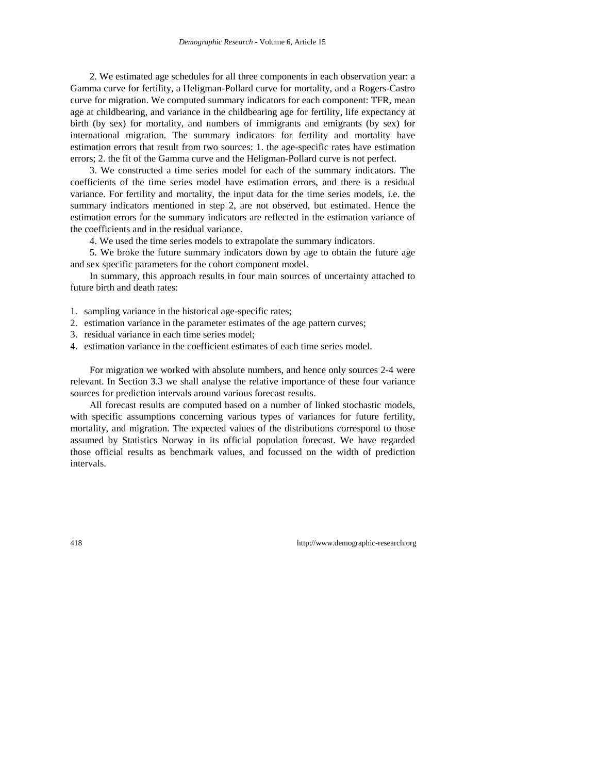2. We estimated age schedules for all three components in each observation year: a Gamma curve for fertility, a Heligman-Pollard curve for mortality, and a Rogers-Castro curve for migration. We computed summary indicators for each component: TFR, mean age at childbearing, and variance in the childbearing age for fertility, life expectancy at birth (by sex) for mortality, and numbers of immigrants and emigrants (by sex) for international migration. The summary indicators for fertility and mortality have estimation errors that result from two sources: 1. the age-specific rates have estimation errors; 2. the fit of the Gamma curve and the Heligman-Pollard curve is not perfect.

3. We constructed a time series model for each of the summary indicators. The coefficients of the time series model have estimation errors, and there is a residual variance. For fertility and mortality, the input data for the time series models, i.e. the summary indicators mentioned in step 2, are not observed, but estimated. Hence the estimation errors for the summary indicators are reflected in the estimation variance of the coefficients and in the residual variance.

4. We used the time series models to extrapolate the summary indicators.

5. We broke the future summary indicators down by age to obtain the future age and sex specific parameters for the cohort component model.

In summary, this approach results in four main sources of uncertainty attached to future birth and death rates:

- 1. sampling variance in the historical age-specific rates;
- 2. estimation variance in the parameter estimates of the age pattern curves;
- 3. residual variance in each time series model;
- 4. estimation variance in the coefficient estimates of each time series model.

For migration we worked with absolute numbers, and hence only sources 2-4 were relevant. In Section 3.3 we shall analyse the relative importance of these four variance sources for prediction intervals around various forecast results.

All forecast results are computed based on a number of linked stochastic models, with specific assumptions concerning various types of variances for future fertility, mortality, and migration. The expected values of the distributions correspond to those assumed by Statistics Norway in its official population forecast. We have regarded those official results as benchmark values, and focussed on the width of prediction intervals.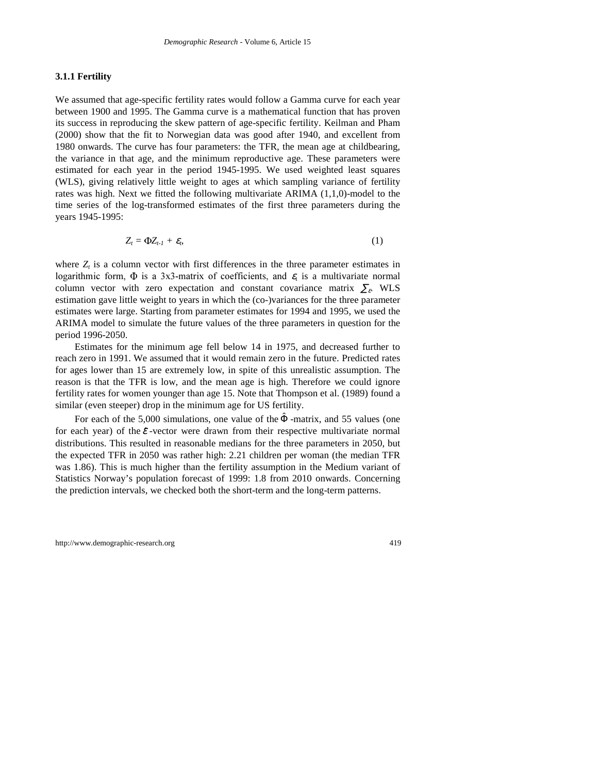#### **3.1.1 Fertility**

We assumed that age-specific fertility rates would follow a Gamma curve for each year between 1900 and 1995. The Gamma curve is a mathematical function that has proven its success in reproducing the skew pattern of age-specific fertility. Keilman and Pham (2000) show that the fit to Norwegian data was good after 1940, and excellent from 1980 onwards. The curve has four parameters: the TFR, the mean age at childbearing, the variance in that age, and the minimum reproductive age. These parameters were estimated for each year in the period 1945-1995. We used weighted least squares (WLS), giving relatively little weight to ages at which sampling variance of fertility rates was high. Next we fitted the following multivariate ARIMA (1,1,0)-model to the time series of the log-transformed estimates of the first three parameters during the years 1945-1995:

$$
Z_t = \Phi Z_{t-1} + \varepsilon_t, \tag{1}
$$

where  $Z_t$  is a column vector with first differences in the three parameter estimates in logarithmic form,  $\Phi$  is a 3x3-matrix of coefficients, and  $\varepsilon$  is a multivariate normal column vector with zero expectation and constant covariance matrix  $\Sigma$ <sub>ε</sub>. WLS estimation gave little weight to years in which the (co-)variances for the three parameter estimates were large. Starting from parameter estimates for 1994 and 1995, we used the ARIMA model to simulate the future values of the three parameters in question for the period 1996-2050.

Estimates for the minimum age fell below 14 in 1975, and decreased further to reach zero in 1991. We assumed that it would remain zero in the future. Predicted rates for ages lower than 15 are extremely low, in spite of this unrealistic assumption. The reason is that the TFR is low, and the mean age is high. Therefore we could ignore fertility rates for women younger than age 15. Note that Thompson et al. (1989) found a similar (even steeper) drop in the minimum age for US fertility.

For each of the 5,000 simulations, one value of the  $\Phi$ -matrix, and 55 values (one for each year) of the  $\mathcal{E}$ -vector were drawn from their respective multivariate normal distributions. This resulted in reasonable medians for the three parameters in 2050, but the expected TFR in 2050 was rather high: 2.21 children per woman (the median TFR was 1.86). This is much higher than the fertility assumption in the Medium variant of Statistics Norway's population forecast of 1999: 1.8 from 2010 onwards. Concerning the prediction intervals, we checked both the short-term and the long-term patterns.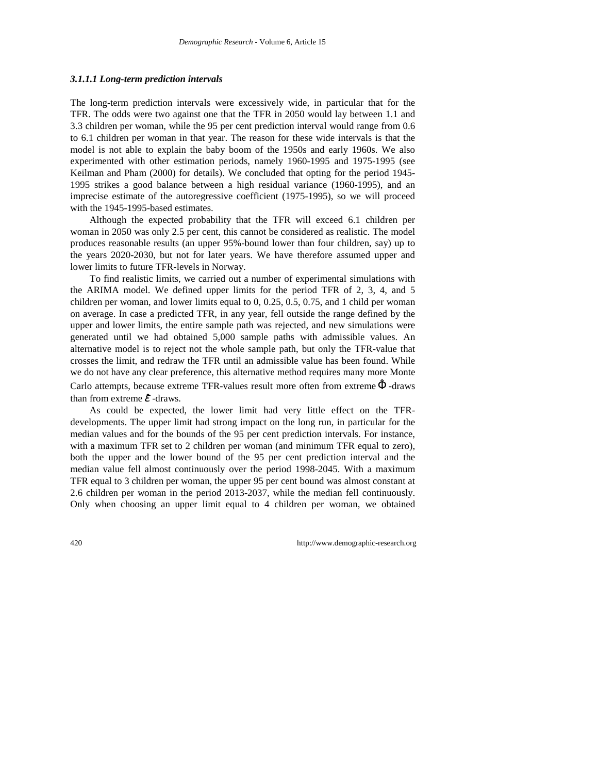#### *3.1.1.1 Long-term prediction intervals*

The long-term prediction intervals were excessively wide, in particular that for the TFR. The odds were two against one that the TFR in 2050 would lay between 1.1 and 3.3 children per woman, while the 95 per cent prediction interval would range from 0.6 to 6.1 children per woman in that year. The reason for these wide intervals is that the model is not able to explain the baby boom of the 1950s and early 1960s. We also experimented with other estimation periods, namely 1960-1995 and 1975-1995 (see Keilman and Pham (2000) for details). We concluded that opting for the period 1945- 1995 strikes a good balance between a high residual variance (1960-1995), and an imprecise estimate of the autoregressive coefficient (1975-1995), so we will proceed with the 1945-1995-based estimates.

Although the expected probability that the TFR will exceed 6.1 children per woman in 2050 was only 2.5 per cent, this cannot be considered as realistic. The model produces reasonable results (an upper 95%-bound lower than four children, say) up to the years 2020-2030, but not for later years. We have therefore assumed upper and lower limits to future TFR-levels in Norway.

To find realistic limits, we carried out a number of experimental simulations with the ARIMA model. We defined upper limits for the period TFR of 2, 3, 4, and 5 children per woman, and lower limits equal to 0, 0.25, 0.5, 0.75, and 1 child per woman on average. In case a predicted TFR, in any year, fell outside the range defined by the upper and lower limits, the entire sample path was rejected, and new simulations were generated until we had obtained 5,000 sample paths with admissible values. An alternative model is to reject not the whole sample path, but only the TFR-value that crosses the limit, and redraw the TFR until an admissible value has been found. While we do not have any clear preference, this alternative method requires many more Monte Carlo attempts, because extreme TFR-values result more often from extreme  $\hat{\Phi}$ -draws than from extreme  $\hat{\mathcal{E}}$  -draws.

As could be expected, the lower limit had very little effect on the TFRdevelopments. The upper limit had strong impact on the long run, in particular for the median values and for the bounds of the 95 per cent prediction intervals. For instance, with a maximum TFR set to 2 children per woman (and minimum TFR equal to zero), both the upper and the lower bound of the 95 per cent prediction interval and the median value fell almost continuously over the period 1998-2045. With a maximum TFR equal to 3 children per woman, the upper 95 per cent bound was almost constant at 2.6 children per woman in the period 2013-2037, while the median fell continuously. Only when choosing an upper limit equal to 4 children per woman, we obtained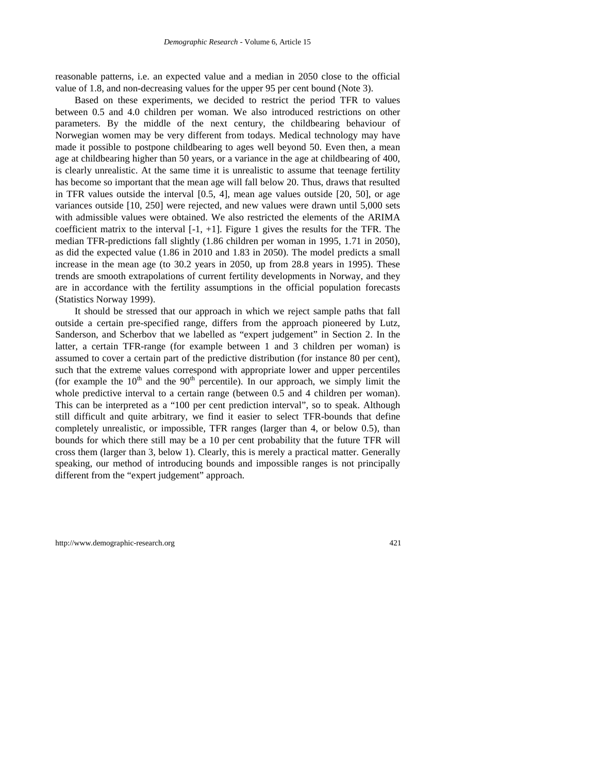reasonable patterns, i.e. an expected value and a median in 2050 close to the official value of 1.8, and non-decreasing values for the upper 95 per cent bound (Note 3).

Based on these experiments, we decided to restrict the period TFR to values between 0.5 and 4.0 children per woman. We also introduced restrictions on other parameters. By the middle of the next century, the childbearing behaviour of Norwegian women may be very different from todays. Medical technology may have made it possible to postpone childbearing to ages well beyond 50. Even then, a mean age at childbearing higher than 50 years, or a variance in the age at childbearing of 400, is clearly unrealistic. At the same time it is unrealistic to assume that teenage fertility has become so important that the mean age will fall below 20. Thus, draws that resulted in TFR values outside the interval [0.5, 4], mean age values outside [20, 50], or age variances outside [10, 250] were rejected, and new values were drawn until 5,000 sets with admissible values were obtained. We also restricted the elements of the ARIMA coefficient matrix to the interval  $[-1, +1]$ . Figure 1 gives the results for the TFR. The median TFR-predictions fall slightly (1.86 children per woman in 1995, 1.71 in 2050), as did the expected value (1.86 in 2010 and 1.83 in 2050). The model predicts a small increase in the mean age (to 30.2 years in 2050, up from 28.8 years in 1995). These trends are smooth extrapolations of current fertility developments in Norway, and they are in accordance with the fertility assumptions in the official population forecasts (Statistics Norway 1999).

It should be stressed that our approach in which we reject sample paths that fall outside a certain pre-specified range, differs from the approach pioneered by Lutz, Sanderson, and Scherbov that we labelled as "expert judgement" in Section 2. In the latter, a certain TFR-range (for example between 1 and 3 children per woman) is assumed to cover a certain part of the predictive distribution (for instance 80 per cent), such that the extreme values correspond with appropriate lower and upper percentiles (for example the  $10<sup>th</sup>$  and the  $90<sup>th</sup>$  percentile). In our approach, we simply limit the whole predictive interval to a certain range (between 0.5 and 4 children per woman). This can be interpreted as a "100 per cent prediction interval", so to speak. Although still difficult and quite arbitrary, we find it easier to select TFR-bounds that define completely unrealistic, or impossible, TFR ranges (larger than 4, or below 0.5), than bounds for which there still may be a 10 per cent probability that the future TFR will cross them (larger than 3, below 1). Clearly, this is merely a practical matter. Generally speaking, our method of introducing bounds and impossible ranges is not principally different from the "expert judgement" approach.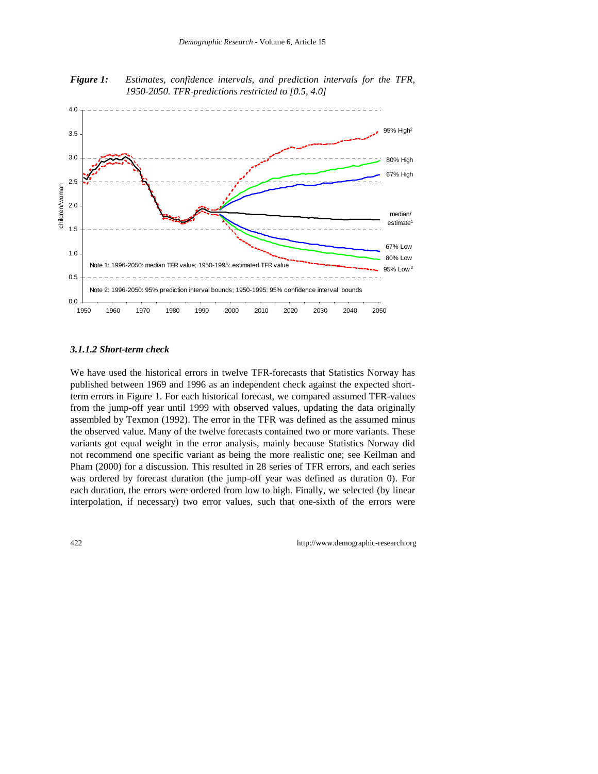*Figure 1: Estimates, confidence intervals, and prediction intervals for the TFR, 1950-2050. TFR-predictions restricted to [0.5, 4.0]*



*3.1.1.2 Short-term check*

We have used the historical errors in twelve TFR-forecasts that Statistics Norway has published between 1969 and 1996 as an independent check against the expected shortterm errors in Figure 1. For each historical forecast, we compared assumed TFR-values from the jump-off year until 1999 with observed values, updating the data originally assembled by Texmon (1992). The error in the TFR was defined as the assumed minus the observed value. Many of the twelve forecasts contained two or more variants. These variants got equal weight in the error analysis, mainly because Statistics Norway did not recommend one specific variant as being the more realistic one; see Keilman and Pham (2000) for a discussion. This resulted in 28 series of TFR errors, and each series was ordered by forecast duration (the jump-off year was defined as duration 0). For each duration, the errors were ordered from low to high. Finally, we selected (by linear interpolation, if necessary) two error values, such that one-sixth of the errors were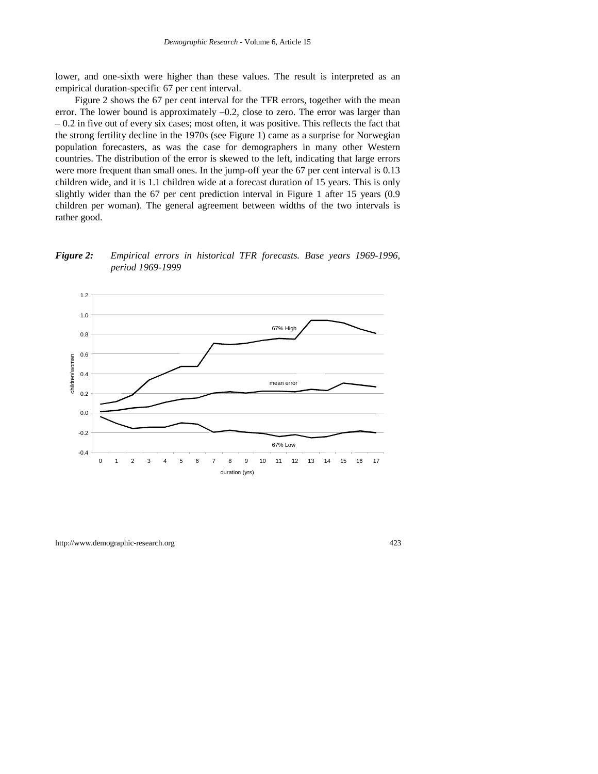lower, and one-sixth were higher than these values. The result is interpreted as an empirical duration-specific 67 per cent interval.

Figure 2 shows the 67 per cent interval for the TFR errors, together with the mean error. The lower bound is approximately  $-0.2$ , close to zero. The error was larger than  $-0.2$  in five out of every six cases; most often, it was positive. This reflects the fact that the strong fertility decline in the 1970s (see Figure 1) came as a surprise for Norwegian population forecasters, as was the case for demographers in many other Western countries. The distribution of the error is skewed to the left, indicating that large errors were more frequent than small ones. In the jump-off year the 67 per cent interval is 0.13 children wide, and it is 1.1 children wide at a forecast duration of 15 years. This is only slightly wider than the 67 per cent prediction interval in Figure 1 after 15 years (0.9 children per woman). The general agreement between widths of the two intervals is rather good.

*Figure 2: Empirical errors in historical TFR forecasts. Base years 1969-1996, period 1969-1999*

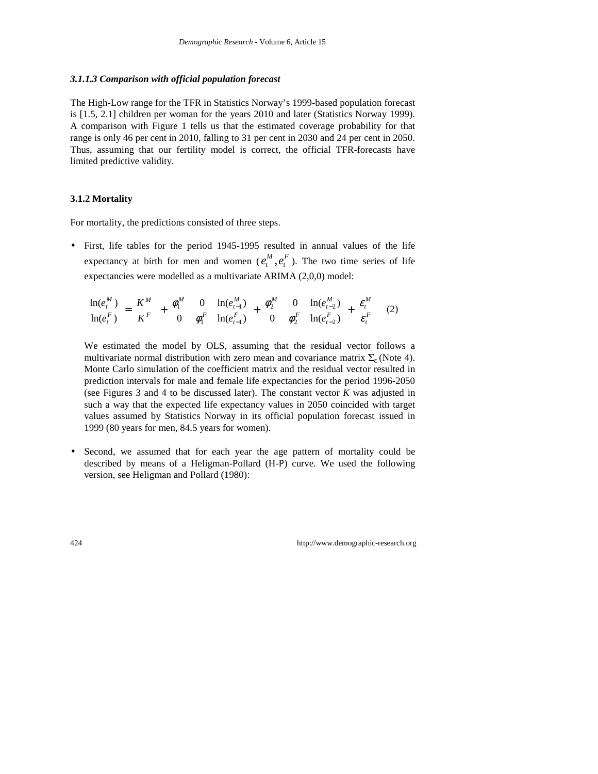#### *3.1.1.3 Comparison with official population forecast*

The High-Low range for the TFR in Statistics Norway's 1999-based population forecast is [1.5, 2.1] children per woman for the years 2010 and later (Statistics Norway 1999). A comparison with Figure 1 tells us that the estimated coverage probability for that range is only 46 per cent in 2010, falling to 31 per cent in 2030 and 24 per cent in 2050. Thus, assuming that our fertility model is correct, the official TFR-forecasts have limited predictive validity.

#### **3.1.2 Mortality**

For mortality, the predictions consisted of three steps.

• First, life tables for the period 1945-1995 resulted in annual values of the life expectancy at birth for men and women ( $e_t^M$ ,  $e_t^F$  $e_t^M$ ,  $e_t^F$ ). The two time series of life expectancies were modelled as a multivariate ARIMA (2,0,0) model:

$$
\begin{bmatrix} \ln(e_i^M) \\ \ln(e_i^F) \end{bmatrix} = \begin{bmatrix} K^M \\ K^F \end{bmatrix} + \begin{bmatrix} \phi_1^M & 0 \\ 0 & \phi_1^F \end{bmatrix} \begin{bmatrix} \ln(e_{i-1}^M) \\ \ln(e_{i-1}^F) \end{bmatrix} + \begin{bmatrix} \phi_2^M & 0 \\ 0 & \phi_2^F \end{bmatrix} \begin{bmatrix} \ln(e_{i-2}^M) \\ \ln(e_{i-2}^F) \end{bmatrix} + \begin{bmatrix} \varepsilon_i^M \\ \varepsilon_i^F \end{bmatrix} \tag{2}
$$

We estimated the model by OLS, assuming that the residual vector follows a multivariate normal distribution with zero mean and covariance matrix  $\Sigma_{\epsilon}$  (Note 4). Monte Carlo simulation of the coefficient matrix and the residual vector resulted in prediction intervals for male and female life expectancies for the period 1996-2050 (see Figures 3 and 4 to be discussed later). The constant vector *K* was adjusted in such a way that the expected life expectancy values in 2050 coincided with target values assumed by Statistics Norway in its official population forecast issued in 1999 (80 years for men, 84.5 years for women).

• Second, we assumed that for each year the age pattern of mortality could be described by means of a Heligman-Pollard (H-P) curve. We used the following version, see Heligman and Pollard (1980):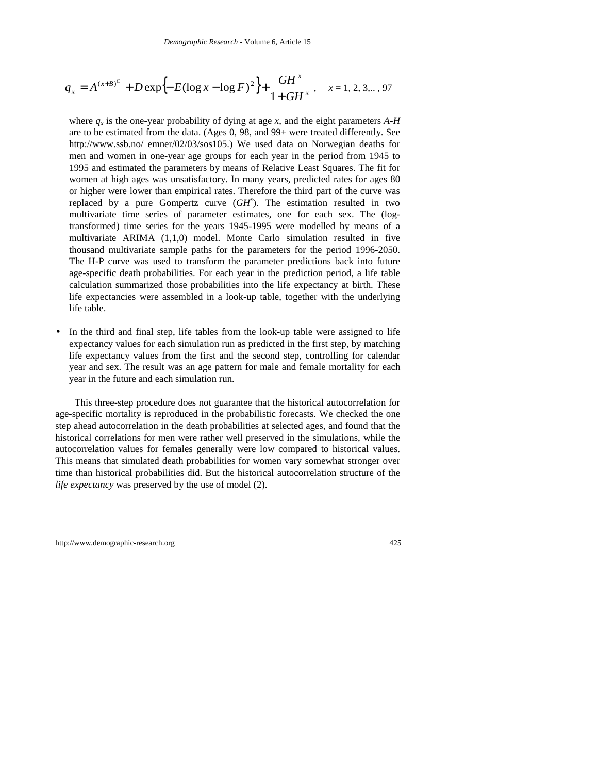$$
q_{x} = A^{(x+B)^{c}} + D \exp\{-E(\log x - \log F)^{2}\} + \frac{GH^{x}}{1+GH^{x}}, \quad x = 1, 2, 3, ..., 97
$$

where  $q_x$  is the one-year probability of dying at age *x*, and the eight parameters  $A-H$ are to be estimated from the data. (Ages 0, 98, and 99+ were treated differently. See http://www.ssb.no/ emner/02/03/sos105.) We used data on Norwegian deaths for men and women in one-year age groups for each year in the period from 1945 to 1995 and estimated the parameters by means of Relative Least Squares. The fit for women at high ages was unsatisfactory. In many years, predicted rates for ages 80 or higher were lower than empirical rates. Therefore the third part of the curve was replaced by a pure Gompertz curve (*GH<sup>x</sup>* ). The estimation resulted in two multivariate time series of parameter estimates, one for each sex. The (logtransformed) time series for the years 1945-1995 were modelled by means of a multivariate ARIMA (1,1,0) model. Monte Carlo simulation resulted in five thousand multivariate sample paths for the parameters for the period 1996-2050. The H-P curve was used to transform the parameter predictions back into future age-specific death probabilities. For each year in the prediction period, a life table calculation summarized those probabilities into the life expectancy at birth. These life expectancies were assembled in a look-up table, together with the underlying life table.

• In the third and final step, life tables from the look-up table were assigned to life expectancy values for each simulation run as predicted in the first step, by matching life expectancy values from the first and the second step, controlling for calendar year and sex. The result was an age pattern for male and female mortality for each year in the future and each simulation run.

This three-step procedure does not guarantee that the historical autocorrelation for age-specific mortality is reproduced in the probabilistic forecasts. We checked the one step ahead autocorrelation in the death probabilities at selected ages, and found that the historical correlations for men were rather well preserved in the simulations, while the autocorrelation values for females generally were low compared to historical values. This means that simulated death probabilities for women vary somewhat stronger over time than historical probabilities did. But the historical autocorrelation structure of the *life expectancy* was preserved by the use of model (2).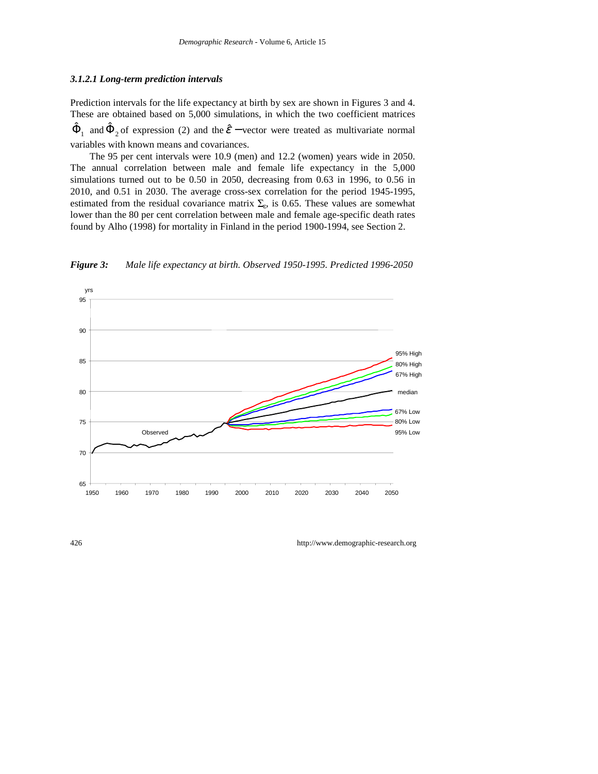#### *3.1.2.1 Long-term prediction intervals*

Prediction intervals for the life expectancy at birth by sex are shown in Figures 3 and 4. These are obtained based on 5,000 simulations, in which the two coefficient matrices  $\hat{\Phi}_1$  and  $\hat{\Phi}_2$  of expression (2) and the  $\hat{\mathcal{E}}$  – vector were treated as multivariate normal variables with known means and covariances.

The 95 per cent intervals were 10.9 (men) and 12.2 (women) years wide in 2050. The annual correlation between male and female life expectancy in the 5,000 simulations turned out to be 0.50 in 2050, decreasing from 0.63 in 1996, to 0.56 in 2010, and 0.51 in 2030. The average cross-sex correlation for the period 1945-1995, estimated from the residual covariance matrix  $\Sigma_{\rm s}$ , is 0.65. These values are somewhat lower than the 80 per cent correlation between male and female age-specific death rates found by Alho (1998) for mortality in Finland in the period 1900-1994, see Section 2.



*Figure 3: Male life expectancy at birth. Observed 1950-1995. Predicted 1996-2050*

426 http://www.demographic-research.org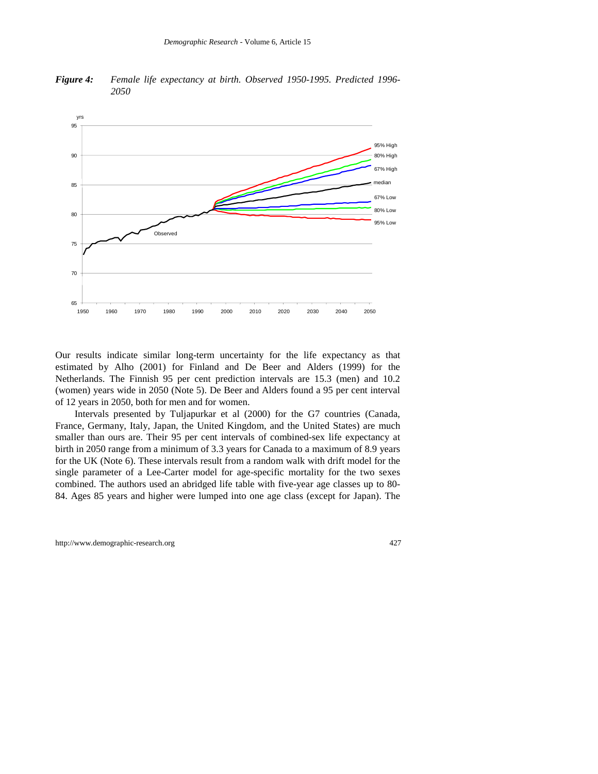*Figure 4: Female life expectancy at birth. Observed 1950-1995. Predicted 1996- 2050*



Our results indicate similar long-term uncertainty for the life expectancy as that estimated by Alho (2001) for Finland and De Beer and Alders (1999) for the Netherlands. The Finnish 95 per cent prediction intervals are 15.3 (men) and 10.2 (women) years wide in 2050 (Note 5). De Beer and Alders found a 95 per cent interval of 12 years in 2050, both for men and for women.

Intervals presented by Tuljapurkar et al (2000) for the G7 countries (Canada, France, Germany, Italy, Japan, the United Kingdom, and the United States) are much smaller than ours are. Their 95 per cent intervals of combined-sex life expectancy at birth in 2050 range from a minimum of 3.3 years for Canada to a maximum of 8.9 years for the UK (Note 6). These intervals result from a random walk with drift model for the single parameter of a Lee-Carter model for age-specific mortality for the two sexes combined. The authors used an abridged life table with five-year age classes up to 80- 84. Ages 85 years and higher were lumped into one age class (except for Japan). The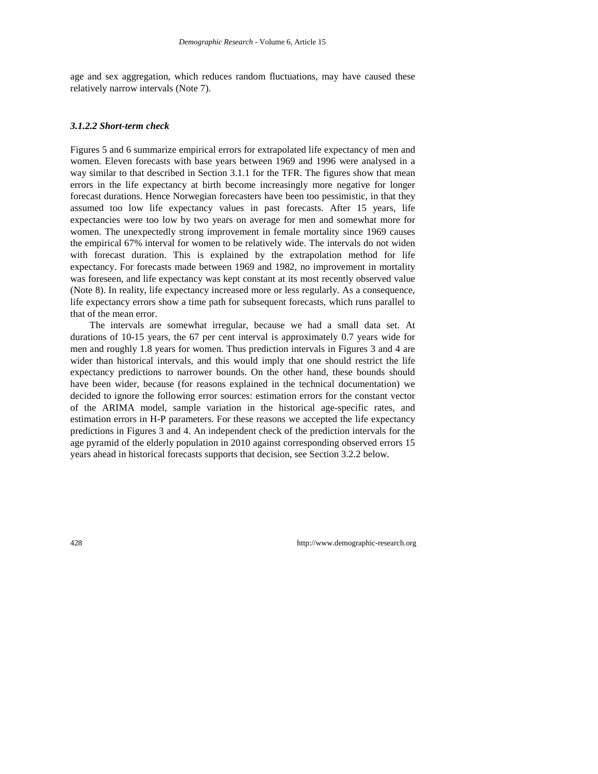age and sex aggregation, which reduces random fluctuations, may have caused these relatively narrow intervals (Note 7).

#### *3.1.2.2 Short-term check*

Figures 5 and 6 summarize empirical errors for extrapolated life expectancy of men and women. Eleven forecasts with base years between 1969 and 1996 were analysed in a way similar to that described in Section 3.1.1 for the TFR. The figures show that mean errors in the life expectancy at birth become increasingly more negative for longer forecast durations. Hence Norwegian forecasters have been too pessimistic, in that they assumed too low life expectancy values in past forecasts. After 15 years, life expectancies were too low by two years on average for men and somewhat more for women. The unexpectedly strong improvement in female mortality since 1969 causes the empirical 67% interval for women to be relatively wide. The intervals do not widen with forecast duration. This is explained by the extrapolation method for life expectancy. For forecasts made between 1969 and 1982, no improvement in mortality was foreseen, and life expectancy was kept constant at its most recently observed value (Note 8). In reality, life expectancy increased more or less regularly. As a consequence, life expectancy errors show a time path for subsequent forecasts, which runs parallel to that of the mean error.

The intervals are somewhat irregular, because we had a small data set. At durations of 10-15 years, the 67 per cent interval is approximately 0.7 years wide for men and roughly 1.8 years for women. Thus prediction intervals in Figures 3 and 4 are wider than historical intervals, and this would imply that one should restrict the life expectancy predictions to narrower bounds. On the other hand, these bounds should have been wider, because (for reasons explained in the technical documentation) we decided to ignore the following error sources: estimation errors for the constant vector of the ARIMA model, sample variation in the historical age-specific rates, and estimation errors in H-P parameters. For these reasons we accepted the life expectancy predictions in Figures 3 and 4. An independent check of the prediction intervals for the age pyramid of the elderly population in 2010 against corresponding observed errors 15 years ahead in historical forecasts supports that decision, see Section 3.2.2 below.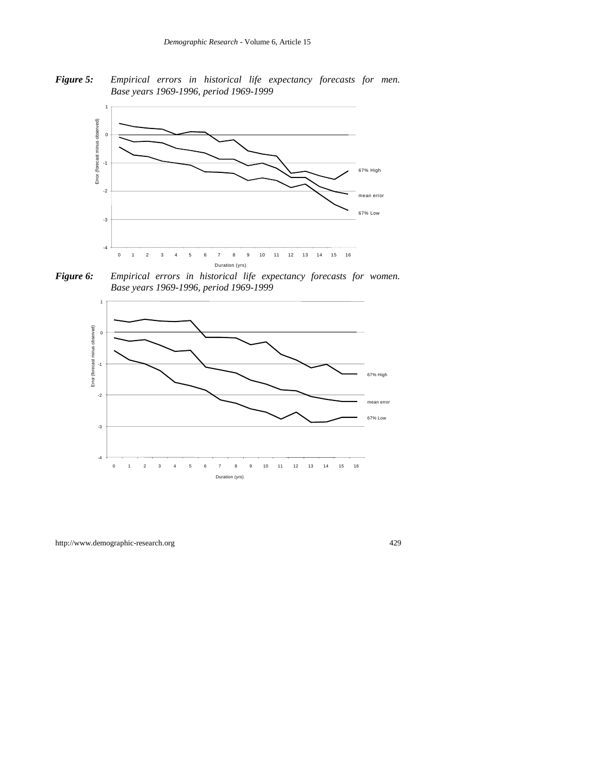*Figure 5: Empirical errors in historical life expectancy forecasts for men. Base years 1969-1996, period 1969-1999*



*Figure 6: Empirical errors in historical life expectancy forecasts for women. Base years 1969-1996, period 1969-1999*

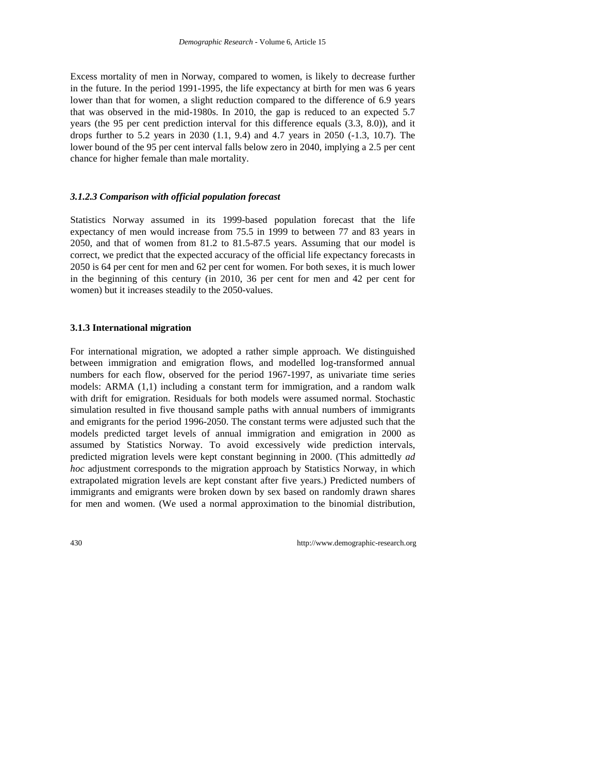Excess mortality of men in Norway, compared to women, is likely to decrease further in the future. In the period 1991-1995, the life expectancy at birth for men was 6 years lower than that for women, a slight reduction compared to the difference of 6.9 years that was observed in the mid-1980s. In 2010, the gap is reduced to an expected 5.7 years (the 95 per cent prediction interval for this difference equals (3.3, 8.0)), and it drops further to 5.2 years in 2030 (1.1, 9.4) and 4.7 years in 2050 (-1.3, 10.7). The lower bound of the 95 per cent interval falls below zero in 2040, implying a 2.5 per cent chance for higher female than male mortality.

#### *3.1.2.3 Comparison with official population forecast*

Statistics Norway assumed in its 1999-based population forecast that the life expectancy of men would increase from 75.5 in 1999 to between 77 and 83 years in 2050, and that of women from 81.2 to 81.5-87.5 years. Assuming that our model is correct, we predict that the expected accuracy of the official life expectancy forecasts in 2050 is 64 per cent for men and 62 per cent for women. For both sexes, it is much lower in the beginning of this century (in 2010, 36 per cent for men and 42 per cent for women) but it increases steadily to the 2050-values.

#### **3.1.3 International migration**

For international migration, we adopted a rather simple approach. We distinguished between immigration and emigration flows, and modelled log-transformed annual numbers for each flow, observed for the period 1967-1997, as univariate time series models: ARMA (1,1) including a constant term for immigration, and a random walk with drift for emigration. Residuals for both models were assumed normal. Stochastic simulation resulted in five thousand sample paths with annual numbers of immigrants and emigrants for the period 1996-2050. The constant terms were adjusted such that the models predicted target levels of annual immigration and emigration in 2000 as assumed by Statistics Norway. To avoid excessively wide prediction intervals, predicted migration levels were kept constant beginning in 2000. (This admittedly *ad hoc* adjustment corresponds to the migration approach by Statistics Norway, in which extrapolated migration levels are kept constant after five years.) Predicted numbers of immigrants and emigrants were broken down by sex based on randomly drawn shares for men and women. (We used a normal approximation to the binomial distribution,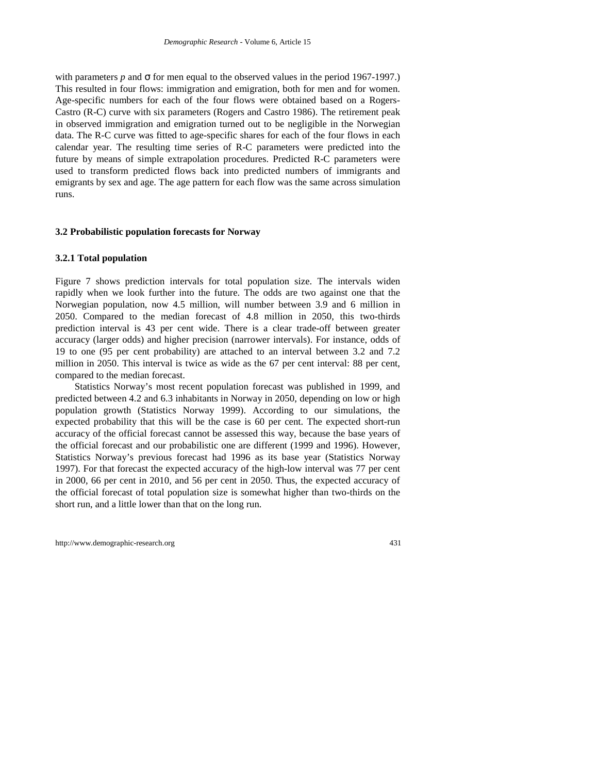with parameters  $p$  and  $\sigma$  for men equal to the observed values in the period 1967-1997.) This resulted in four flows: immigration and emigration, both for men and for women. Age-specific numbers for each of the four flows were obtained based on a Rogers-Castro (R-C) curve with six parameters (Rogers and Castro 1986). The retirement peak in observed immigration and emigration turned out to be negligible in the Norwegian data. The R-C curve was fitted to age-specific shares for each of the four flows in each calendar year. The resulting time series of R-C parameters were predicted into the future by means of simple extrapolation procedures. Predicted R-C parameters were used to transform predicted flows back into predicted numbers of immigrants and emigrants by sex and age. The age pattern for each flow was the same across simulation runs.

#### **3.2 Probabilistic population forecasts for Norway**

#### **3.2.1 Total population**

Figure 7 shows prediction intervals for total population size. The intervals widen rapidly when we look further into the future. The odds are two against one that the Norwegian population, now 4.5 million, will number between 3.9 and 6 million in 2050. Compared to the median forecast of 4.8 million in 2050, this two-thirds prediction interval is 43 per cent wide. There is a clear trade-off between greater accuracy (larger odds) and higher precision (narrower intervals). For instance, odds of 19 to one (95 per cent probability) are attached to an interval between 3.2 and 7.2 million in 2050. This interval is twice as wide as the 67 per cent interval: 88 per cent, compared to the median forecast.

Statistics Norway's most recent population forecast was published in 1999, and predicted between 4.2 and 6.3 inhabitants in Norway in 2050, depending on low or high population growth (Statistics Norway 1999). According to our simulations, the expected probability that this will be the case is 60 per cent. The expected short-run accuracy of the official forecast cannot be assessed this way, because the base years of the official forecast and our probabilistic one are different (1999 and 1996). However, Statistics Norway's previous forecast had 1996 as its base year (Statistics Norway 1997). For that forecast the expected accuracy of the high-low interval was 77 per cent in 2000, 66 per cent in 2010, and 56 per cent in 2050. Thus, the expected accuracy of the official forecast of total population size is somewhat higher than two-thirds on the short run, and a little lower than that on the long run.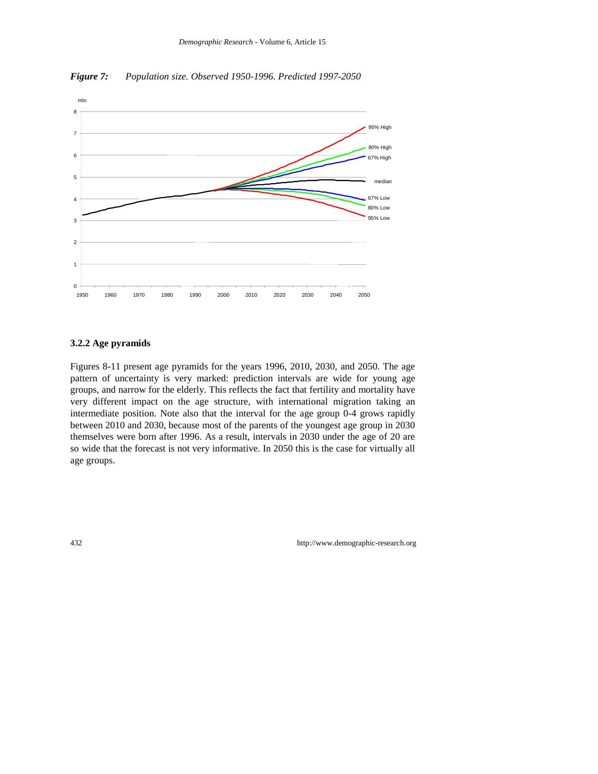

*Figure 7: Population size. Observed 1950-1996. Predicted 1997-2050*

### **3.2.2 Age pyramids**

Figures 8-11 present age pyramids for the years 1996, 2010, 2030, and 2050. The age pattern of uncertainty is very marked: prediction intervals are wide for young age groups, and narrow for the elderly. This reflects the fact that fertility and mortality have very different impact on the age structure, with international migration taking an intermediate position. Note also that the interval for the age group 0-4 grows rapidly between 2010 and 2030, because most of the parents of the youngest age group in 2030 themselves were born after 1996. As a result, intervals in 2030 under the age of 20 are so wide that the forecast is not very informative. In 2050 this is the case for virtually all age groups.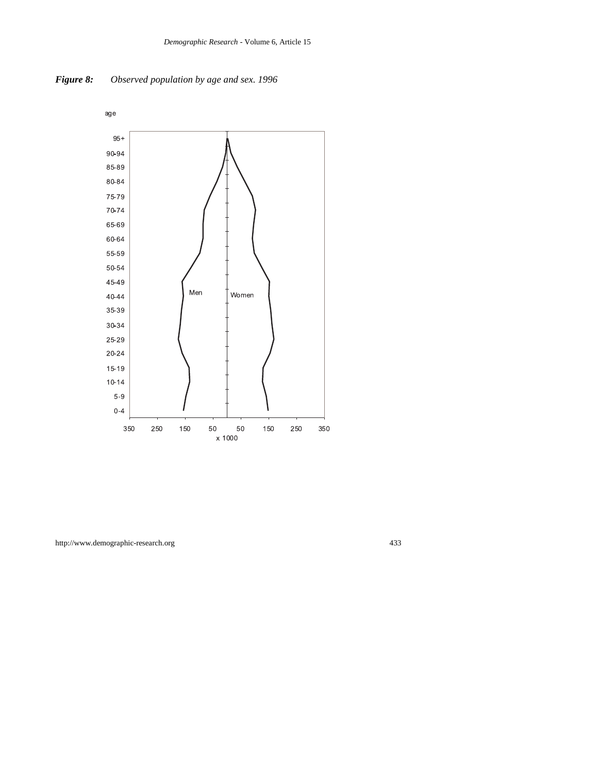

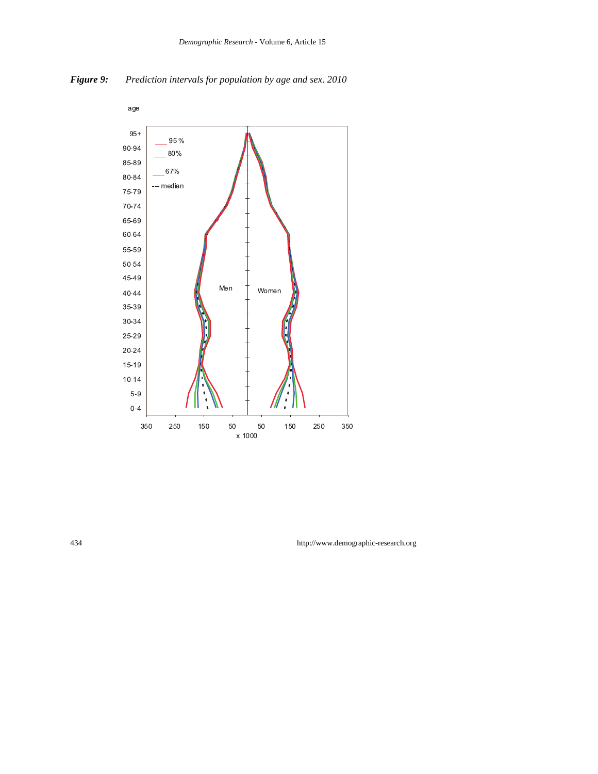



434 http://www.demographic-research.org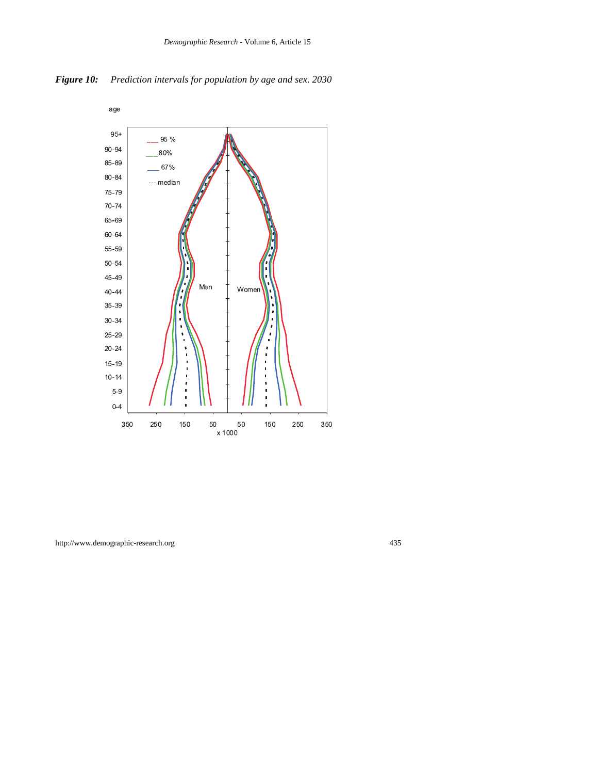

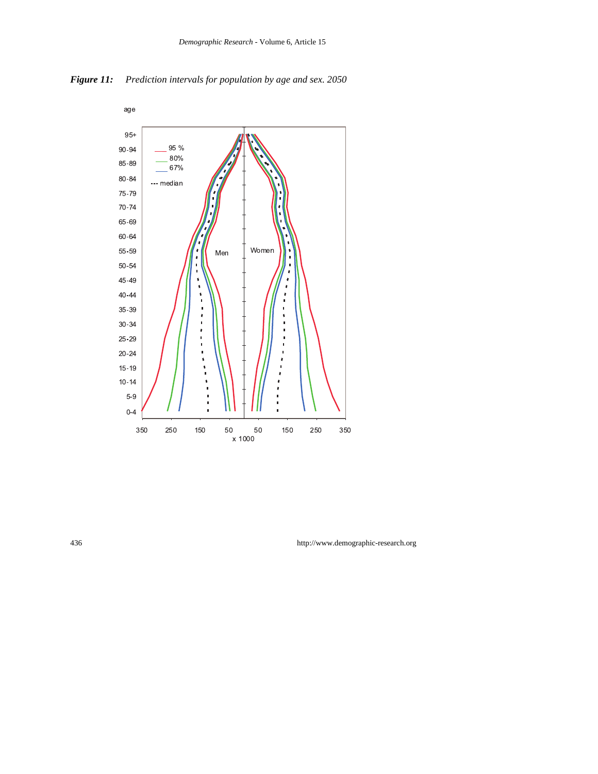

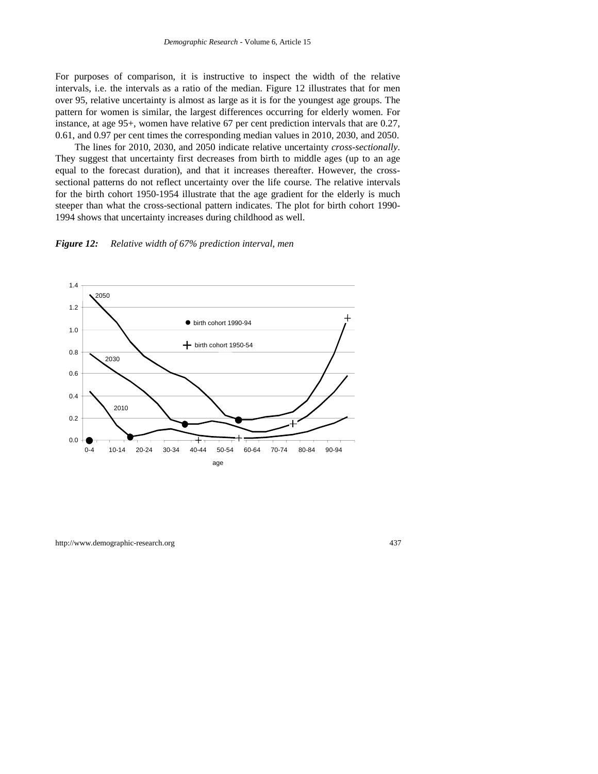For purposes of comparison, it is instructive to inspect the width of the relative intervals, i.e. the intervals as a ratio of the median. Figure 12 illustrates that for men over 95, relative uncertainty is almost as large as it is for the youngest age groups. The pattern for women is similar, the largest differences occurring for elderly women. For instance, at age 95+, women have relative 67 per cent prediction intervals that are 0.27, 0.61, and 0.97 per cent times the corresponding median values in 2010, 2030, and 2050.

The lines for 2010, 2030, and 2050 indicate relative uncertainty *cross-sectionally*. They suggest that uncertainty first decreases from birth to middle ages (up to an age equal to the forecast duration), and that it increases thereafter. However, the crosssectional patterns do not reflect uncertainty over the life course. The relative intervals for the birth cohort 1950-1954 illustrate that the age gradient for the elderly is much steeper than what the cross-sectional pattern indicates. The plot for birth cohort 1990- 1994 shows that uncertainty increases during childhood as well.



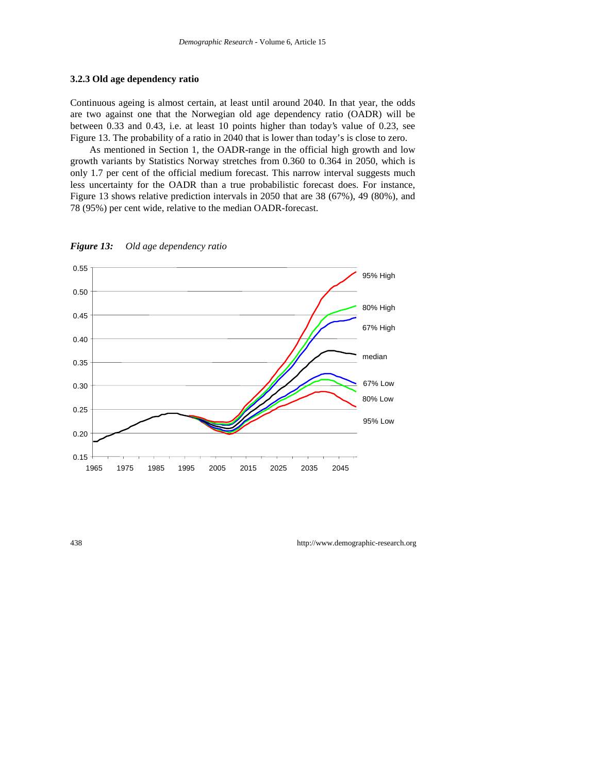#### **3.2.3 Old age dependency ratio**

Continuous ageing is almost certain, at least until around 2040. In that year, the odds are two against one that the Norwegian old age dependency ratio (OADR) will be between 0.33 and 0.43, i.e. at least 10 points higher than today's value of 0.23, see Figure 13. The probability of a ratio in 2040 that is lower than today's is close to zero.

As mentioned in Section 1, the OADR-range in the official high growth and low growth variants by Statistics Norway stretches from 0.360 to 0.364 in 2050, which is only 1.7 per cent of the official medium forecast. This narrow interval suggests much less uncertainty for the OADR than a true probabilistic forecast does. For instance, Figure 13 shows relative prediction intervals in 2050 that are 38 (67%), 49 (80%), and 78 (95%) per cent wide, relative to the median OADR-forecast.



*Figure 13: Old age dependency ratio*

438 http://www.demographic-research.org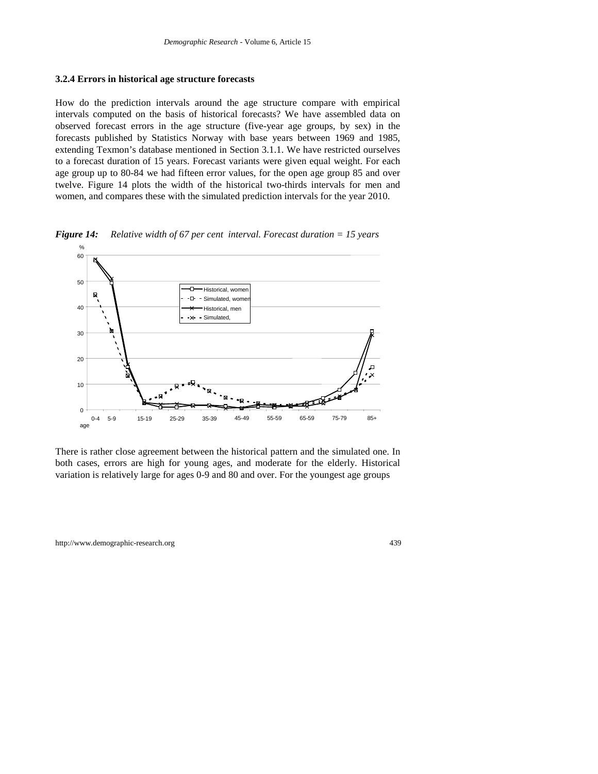#### **3.2.4 Errors in historical age structure forecasts**

How do the prediction intervals around the age structure compare with empirical intervals computed on the basis of historical forecasts? We have assembled data on observed forecast errors in the age structure (five-year age groups, by sex) in the forecasts published by Statistics Norway with base years between 1969 and 1985, extending Texmon's database mentioned in Section 3.1.1. We have restricted ourselves to a forecast duration of 15 years. Forecast variants were given equal weight. For each age group up to 80-84 we had fifteen error values, for the open age group 85 and over twelve. Figure 14 plots the width of the historical two-thirds intervals for men and women, and compares these with the simulated prediction intervals for the year 2010.



*Figure 14: Relative width of 67 per cent interval. Forecast duration = 15 years*

There is rather close agreement between the historical pattern and the simulated one. In both cases, errors are high for young ages, and moderate for the elderly. Historical variation is relatively large for ages 0-9 and 80 and over. For the youngest age groups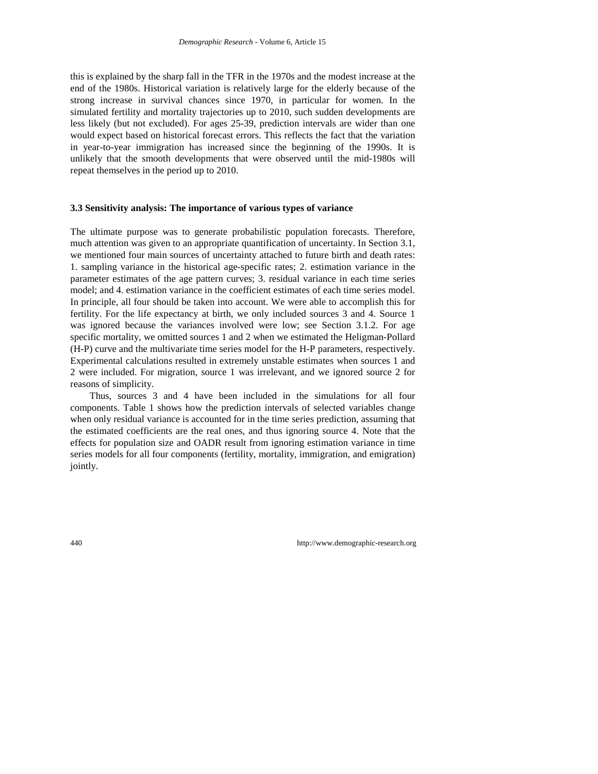this is explained by the sharp fall in the TFR in the 1970s and the modest increase at the end of the 1980s. Historical variation is relatively large for the elderly because of the strong increase in survival chances since 1970, in particular for women. In the simulated fertility and mortality trajectories up to 2010, such sudden developments are less likely (but not excluded). For ages 25-39, prediction intervals are wider than one would expect based on historical forecast errors. This reflects the fact that the variation in year-to-year immigration has increased since the beginning of the 1990s. It is unlikely that the smooth developments that were observed until the mid-1980s will repeat themselves in the period up to 2010.

#### **3.3 Sensitivity analysis: The importance of various types of variance**

The ultimate purpose was to generate probabilistic population forecasts. Therefore, much attention was given to an appropriate quantification of uncertainty. In Section 3.1, we mentioned four main sources of uncertainty attached to future birth and death rates: 1. sampling variance in the historical age-specific rates; 2. estimation variance in the parameter estimates of the age pattern curves; 3. residual variance in each time series model; and 4. estimation variance in the coefficient estimates of each time series model. In principle, all four should be taken into account. We were able to accomplish this for fertility. For the life expectancy at birth, we only included sources 3 and 4. Source 1 was ignored because the variances involved were low; see Section 3.1.2. For age specific mortality, we omitted sources 1 and 2 when we estimated the Heligman-Pollard (H-P) curve and the multivariate time series model for the H-P parameters, respectively. Experimental calculations resulted in extremely unstable estimates when sources 1 and 2 were included. For migration, source 1 was irrelevant, and we ignored source 2 for reasons of simplicity.

Thus, sources 3 and 4 have been included in the simulations for all four components. Table 1 shows how the prediction intervals of selected variables change when only residual variance is accounted for in the time series prediction, assuming that the estimated coefficients are the real ones, and thus ignoring source 4. Note that the effects for population size and OADR result from ignoring estimation variance in time series models for all four components (fertility, mortality, immigration, and emigration) jointly.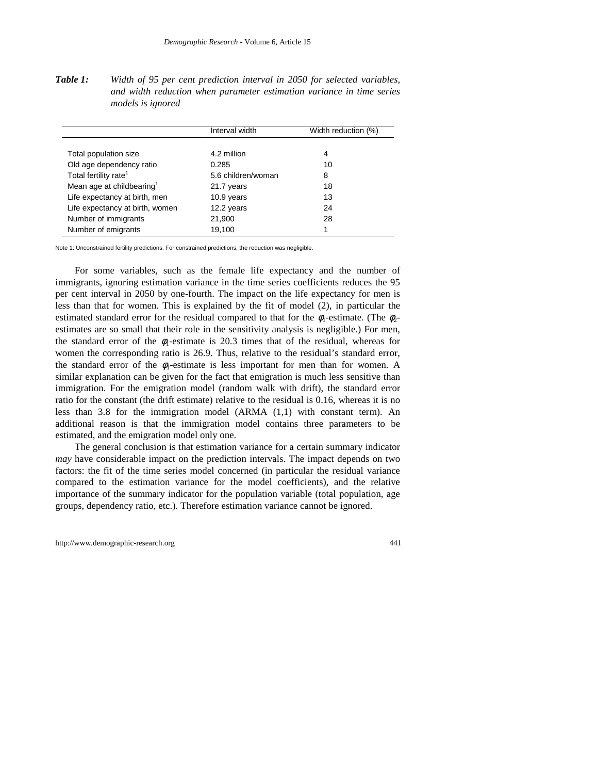*Table 1: Width of 95 per cent prediction interval in 2050 for selected variables, and width reduction when parameter estimation variance in time series models is ignored*

|                                       | Interval width     | Width reduction (%) |
|---------------------------------------|--------------------|---------------------|
|                                       |                    |                     |
| Total population size                 | 4.2 million        | 4                   |
| Old age dependency ratio              | 0.285              | 10                  |
| Total fertility rate <sup>1</sup>     | 5.6 children/woman | 8                   |
| Mean age at childbearing <sup>1</sup> | 21.7 years         | 18                  |
| Life expectancy at birth, men         | 10.9 years         | 13                  |
| Life expectancy at birth, women       | 12.2 years         | 24                  |
| Number of immigrants                  | 21,900             | 28                  |
| Number of emigrants                   | 19,100             |                     |

Note 1: Unconstrained fertility predictions. For constrained predictions, the reduction was negligible.

For some variables, such as the female life expectancy and the number of immigrants, ignoring estimation variance in the time series coefficients reduces the 95 per cent interval in 2050 by one-fourth. The impact on the life expectancy for men is less than that for women. This is explained by the fit of model (2), in particular the estimated standard error for the residual compared to that for the  $\phi_1$ -estimate. (The  $\phi_2$ estimates are so small that their role in the sensitivity analysis is negligible.) For men, the standard error of the  $\phi_1$ -estimate is 20.3 times that of the residual, whereas for women the corresponding ratio is 26.9. Thus, relative to the residual's standard error, the standard error of the  $\phi_1$ -estimate is less important for men than for women. A similar explanation can be given for the fact that emigration is much less sensitive than immigration. For the emigration model (random walk with drift), the standard error ratio for the constant (the drift estimate) relative to the residual is 0.16, whereas it is no less than 3.8 for the immigration model (ARMA (1,1) with constant term). An additional reason is that the immigration model contains three parameters to be estimated, and the emigration model only one.

The general conclusion is that estimation variance for a certain summary indicator *may* have considerable impact on the prediction intervals. The impact depends on two factors: the fit of the time series model concerned (in particular the residual variance compared to the estimation variance for the model coefficients), and the relative importance of the summary indicator for the population variable (total population, age groups, dependency ratio, etc.). Therefore estimation variance cannot be ignored.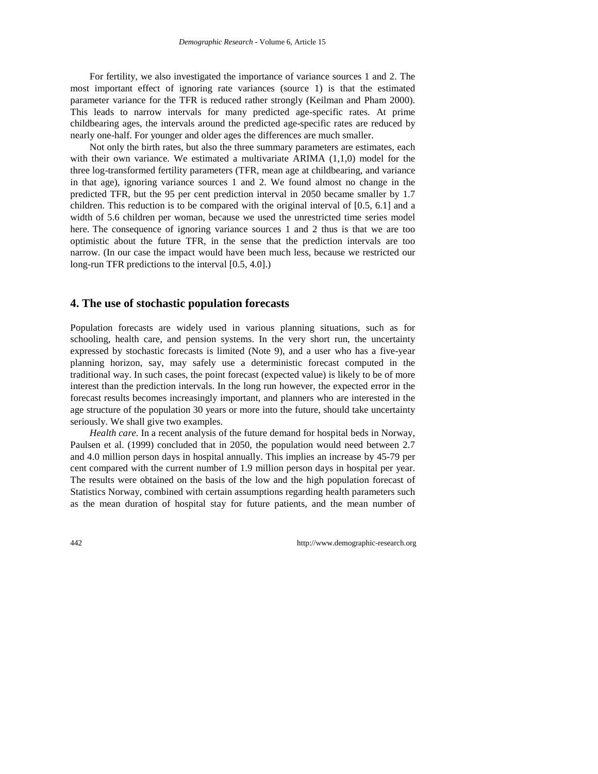For fertility, we also investigated the importance of variance sources 1 and 2. The most important effect of ignoring rate variances (source 1) is that the estimated parameter variance for the TFR is reduced rather strongly (Keilman and Pham 2000). This leads to narrow intervals for many predicted age-specific rates. At prime childbearing ages, the intervals around the predicted age-specific rates are reduced by nearly one-half. For younger and older ages the differences are much smaller.

Not only the birth rates, but also the three summary parameters are estimates, each with their own variance. We estimated a multivariate ARIMA (1,1,0) model for the three log-transformed fertility parameters (TFR, mean age at childbearing, and variance in that age), ignoring variance sources 1 and 2. We found almost no change in the predicted TFR, but the 95 per cent prediction interval in 2050 became smaller by 1.7 children. This reduction is to be compared with the original interval of [0.5, 6.1] and a width of 5.6 children per woman, because we used the unrestricted time series model here. The consequence of ignoring variance sources 1 and 2 thus is that we are too optimistic about the future TFR, in the sense that the prediction intervals are too narrow. (In our case the impact would have been much less, because we restricted our long-run TFR predictions to the interval [0.5, 4.0].)

# **4. The use of stochastic population forecasts**

Population forecasts are widely used in various planning situations, such as for schooling, health care, and pension systems. In the very short run, the uncertainty expressed by stochastic forecasts is limited (Note 9), and a user who has a five-year planning horizon, say, may safely use a deterministic forecast computed in the traditional way. In such cases, the point forecast (expected value) is likely to be of more interest than the prediction intervals. In the long run however, the expected error in the forecast results becomes increasingly important, and planners who are interested in the age structure of the population 30 years or more into the future, should take uncertainty seriously. We shall give two examples.

*Health care.* In a recent analysis of the future demand for hospital beds in Norway, Paulsen et al. (1999) concluded that in 2050, the population would need between 2.7 and 4.0 million person days in hospital annually. This implies an increase by 45-79 per cent compared with the current number of 1.9 million person days in hospital per year. The results were obtained on the basis of the low and the high population forecast of Statistics Norway, combined with certain assumptions regarding health parameters such as the mean duration of hospital stay for future patients, and the mean number of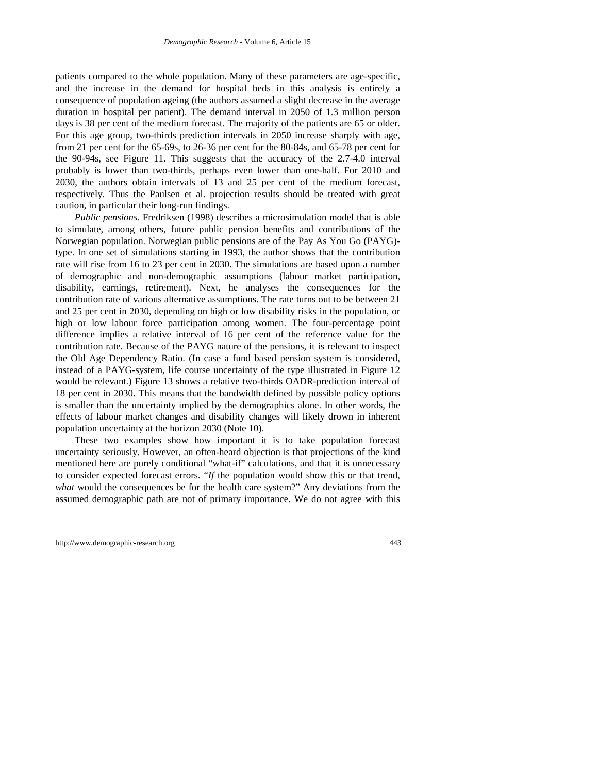patients compared to the whole population. Many of these parameters are age-specific, and the increase in the demand for hospital beds in this analysis is entirely a consequence of population ageing (the authors assumed a slight decrease in the average duration in hospital per patient). The demand interval in 2050 of 1.3 million person days is 38 per cent of the medium forecast. The majority of the patients are 65 or older. For this age group, two-thirds prediction intervals in 2050 increase sharply with age, from 21 per cent for the 65-69s, to 26-36 per cent for the 80-84s, and 65-78 per cent for the 90-94s, see Figure 11. This suggests that the accuracy of the 2.7-4.0 interval probably is lower than two-thirds, perhaps even lower than one-half. For 2010 and 2030, the authors obtain intervals of 13 and 25 per cent of the medium forecast, respectively. Thus the Paulsen et al. projection results should be treated with great caution, in particular their long-run findings.

*Public pensions.* Fredriksen (1998) describes a microsimulation model that is able to simulate, among others, future public pension benefits and contributions of the Norwegian population. Norwegian public pensions are of the Pay As You Go (PAYG) type. In one set of simulations starting in 1993, the author shows that the contribution rate will rise from 16 to 23 per cent in 2030. The simulations are based upon a number of demographic and non-demographic assumptions (labour market participation, disability, earnings, retirement). Next, he analyses the consequences for the contribution rate of various alternative assumptions. The rate turns out to be between 21 and 25 per cent in 2030, depending on high or low disability risks in the population, or high or low labour force participation among women. The four-percentage point difference implies a relative interval of 16 per cent of the reference value for the contribution rate. Because of the PAYG nature of the pensions, it is relevant to inspect the Old Age Dependency Ratio. (In case a fund based pension system is considered, instead of a PAYG-system, life course uncertainty of the type illustrated in Figure 12 would be relevant.) Figure 13 shows a relative two-thirds OADR-prediction interval of 18 per cent in 2030. This means that the bandwidth defined by possible policy options is smaller than the uncertainty implied by the demographics alone. In other words, the effects of labour market changes and disability changes will likely drown in inherent population uncertainty at the horizon 2030 (Note 10).

These two examples show how important it is to take population forecast uncertainty seriously. However, an often-heard objection is that projections of the kind mentioned here are purely conditional "what-if" calculations, and that it is unnecessary to consider expected forecast errors. "*If* the population would show this or that trend, *what* would the consequences be for the health care system?" Any deviations from the assumed demographic path are not of primary importance. We do not agree with this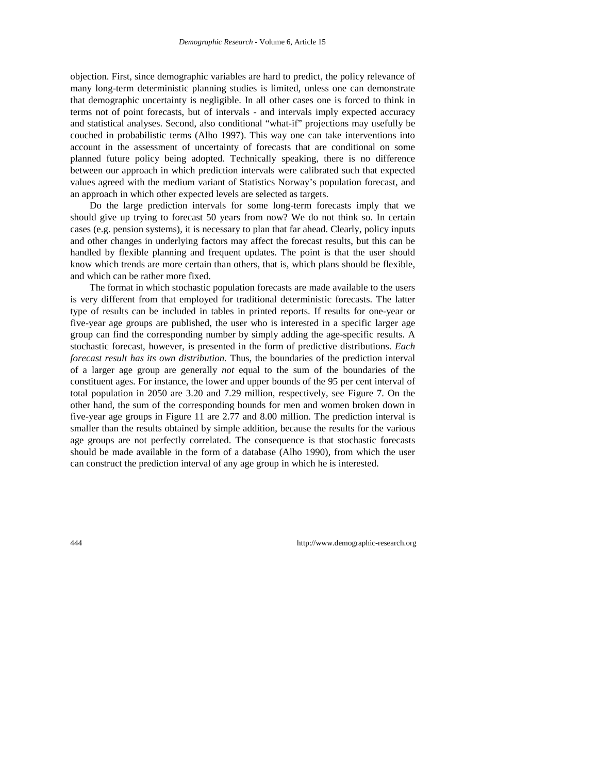objection. First, since demographic variables are hard to predict, the policy relevance of many long-term deterministic planning studies is limited, unless one can demonstrate that demographic uncertainty is negligible. In all other cases one is forced to think in terms not of point forecasts, but of intervals - and intervals imply expected accuracy and statistical analyses. Second, also conditional "what-if" projections may usefully be couched in probabilistic terms (Alho 1997). This way one can take interventions into account in the assessment of uncertainty of forecasts that are conditional on some planned future policy being adopted. Technically speaking, there is no difference between our approach in which prediction intervals were calibrated such that expected values agreed with the medium variant of Statistics Norway's population forecast, and an approach in which other expected levels are selected as targets.

Do the large prediction intervals for some long-term forecasts imply that we should give up trying to forecast 50 years from now? We do not think so. In certain cases (e.g. pension systems), it is necessary to plan that far ahead. Clearly, policy inputs and other changes in underlying factors may affect the forecast results, but this can be handled by flexible planning and frequent updates. The point is that the user should know which trends are more certain than others, that is, which plans should be flexible, and which can be rather more fixed.

The format in which stochastic population forecasts are made available to the users is very different from that employed for traditional deterministic forecasts. The latter type of results can be included in tables in printed reports. If results for one-year or five-year age groups are published, the user who is interested in a specific larger age group can find the corresponding number by simply adding the age-specific results. A stochastic forecast, however, is presented in the form of predictive distributions. *Each forecast result has its own distribution.* Thus, the boundaries of the prediction interval of a larger age group are generally *not* equal to the sum of the boundaries of the constituent ages. For instance, the lower and upper bounds of the 95 per cent interval of total population in 2050 are 3.20 and 7.29 million, respectively, see Figure 7. On the other hand, the sum of the corresponding bounds for men and women broken down in five-year age groups in Figure 11 are 2.77 and 8.00 million. The prediction interval is smaller than the results obtained by simple addition, because the results for the various age groups are not perfectly correlated. The consequence is that stochastic forecasts should be made available in the form of a database (Alho 1990), from which the user can construct the prediction interval of any age group in which he is interested.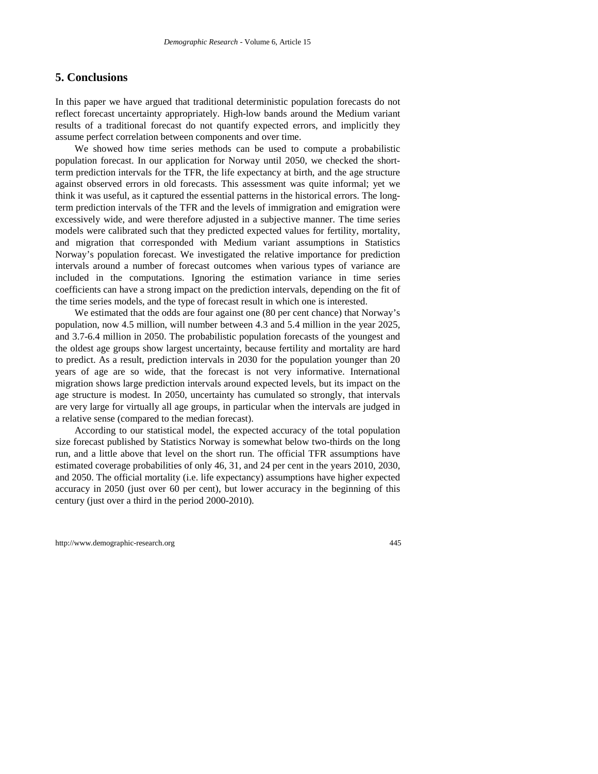## **5. Conclusions**

In this paper we have argued that traditional deterministic population forecasts do not reflect forecast uncertainty appropriately. High-low bands around the Medium variant results of a traditional forecast do not quantify expected errors, and implicitly they assume perfect correlation between components and over time.

We showed how time series methods can be used to compute a probabilistic population forecast. In our application for Norway until 2050, we checked the shortterm prediction intervals for the TFR, the life expectancy at birth, and the age structure against observed errors in old forecasts. This assessment was quite informal; yet we think it was useful, as it captured the essential patterns in the historical errors. The longterm prediction intervals of the TFR and the levels of immigration and emigration were excessively wide, and were therefore adjusted in a subjective manner. The time series models were calibrated such that they predicted expected values for fertility, mortality, and migration that corresponded with Medium variant assumptions in Statistics Norway's population forecast. We investigated the relative importance for prediction intervals around a number of forecast outcomes when various types of variance are included in the computations. Ignoring the estimation variance in time series coefficients can have a strong impact on the prediction intervals, depending on the fit of the time series models, and the type of forecast result in which one is interested.

We estimated that the odds are four against one (80 per cent chance) that Norway's population, now 4.5 million, will number between 4.3 and 5.4 million in the year 2025, and 3.7-6.4 million in 2050. The probabilistic population forecasts of the youngest and the oldest age groups show largest uncertainty, because fertility and mortality are hard to predict. As a result, prediction intervals in 2030 for the population younger than 20 years of age are so wide, that the forecast is not very informative. International migration shows large prediction intervals around expected levels, but its impact on the age structure is modest. In 2050, uncertainty has cumulated so strongly, that intervals are very large for virtually all age groups, in particular when the intervals are judged in a relative sense (compared to the median forecast).

According to our statistical model, the expected accuracy of the total population size forecast published by Statistics Norway is somewhat below two-thirds on the long run, and a little above that level on the short run. The official TFR assumptions have estimated coverage probabilities of only 46, 31, and 24 per cent in the years 2010, 2030, and 2050. The official mortality (i.e. life expectancy) assumptions have higher expected accuracy in 2050 (just over 60 per cent), but lower accuracy in the beginning of this century (just over a third in the period 2000-2010).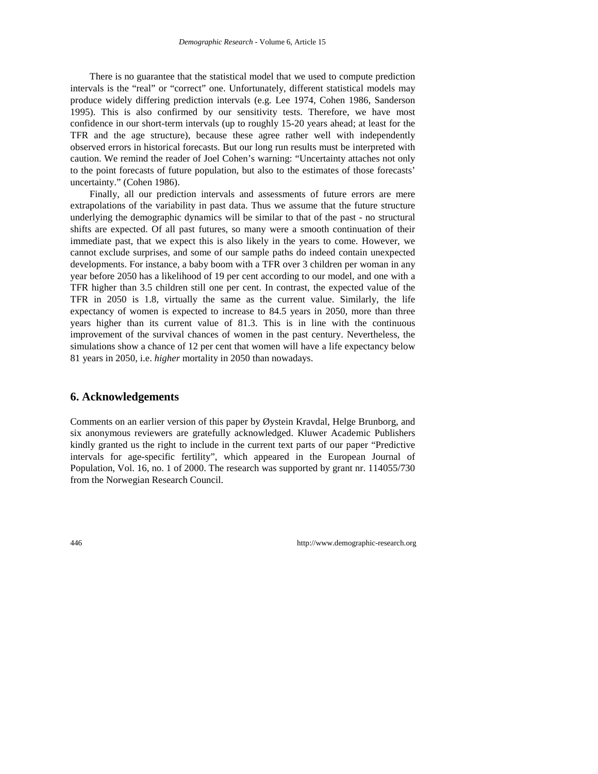There is no guarantee that the statistical model that we used to compute prediction intervals is the "real" or "correct" one. Unfortunately, different statistical models may produce widely differing prediction intervals (e.g. Lee 1974, Cohen 1986, Sanderson 1995). This is also confirmed by our sensitivity tests. Therefore, we have most confidence in our short-term intervals (up to roughly 15-20 years ahead; at least for the TFR and the age structure), because these agree rather well with independently observed errors in historical forecasts. But our long run results must be interpreted with caution. We remind the reader of Joel Cohen's warning: "Uncertainty attaches not only to the point forecasts of future population, but also to the estimates of those forecasts' uncertainty." (Cohen 1986).

Finally, all our prediction intervals and assessments of future errors are mere extrapolations of the variability in past data. Thus we assume that the future structure underlying the demographic dynamics will be similar to that of the past - no structural shifts are expected. Of all past futures, so many were a smooth continuation of their immediate past, that we expect this is also likely in the years to come. However, we cannot exclude surprises, and some of our sample paths do indeed contain unexpected developments. For instance, a baby boom with a TFR over 3 children per woman in any year before 2050 has a likelihood of 19 per cent according to our model, and one with a TFR higher than 3.5 children still one per cent. In contrast, the expected value of the TFR in 2050 is 1.8, virtually the same as the current value. Similarly, the life expectancy of women is expected to increase to 84.5 years in 2050, more than three years higher than its current value of 81.3. This is in line with the continuous improvement of the survival chances of women in the past century. Nevertheless, the simulations show a chance of 12 per cent that women will have a life expectancy below 81 years in 2050, i.e. *higher* mortality in 2050 than nowadays.

## **6. Acknowledgements**

Comments on an earlier version of this paper by Øystein Kravdal, Helge Brunborg, and six anonymous reviewers are gratefully acknowledged. Kluwer Academic Publishers kindly granted us the right to include in the current text parts of our paper "Predictive intervals for age-specific fertility", which appeared in the European Journal of Population, Vol. 16, no. 1 of 2000. The research was supported by grant nr. 114055/730 from the Norwegian Research Council.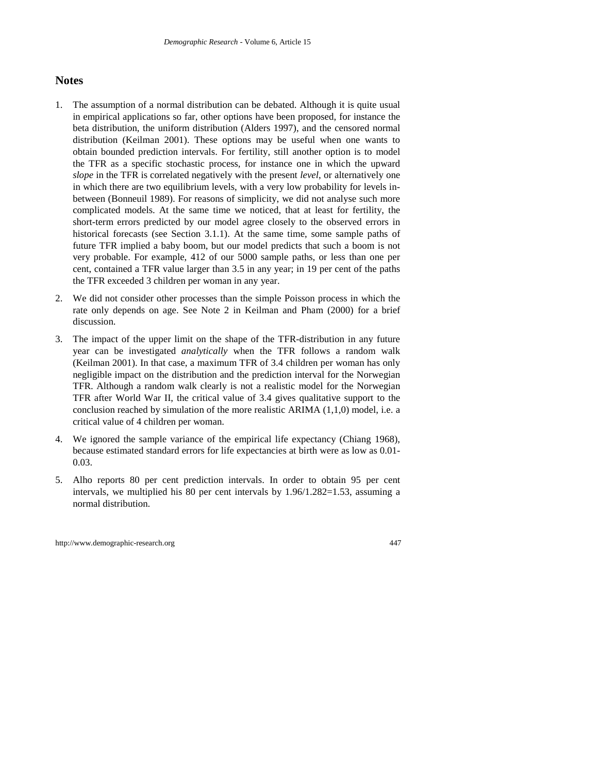## **Notes**

- 1. The assumption of a normal distribution can be debated. Although it is quite usual in empirical applications so far, other options have been proposed, for instance the beta distribution, the uniform distribution (Alders 1997), and the censored normal distribution (Keilman 2001). These options may be useful when one wants to obtain bounded prediction intervals. For fertility, still another option is to model the TFR as a specific stochastic process, for instance one in which the upward *slope* in the TFR is correlated negatively with the present *level*, or alternatively one in which there are two equilibrium levels, with a very low probability for levels inbetween (Bonneuil 1989). For reasons of simplicity, we did not analyse such more complicated models. At the same time we noticed, that at least for fertility, the short-term errors predicted by our model agree closely to the observed errors in historical forecasts (see Section 3.1.1). At the same time, some sample paths of future TFR implied a baby boom, but our model predicts that such a boom is not very probable. For example, 412 of our 5000 sample paths, or less than one per cent, contained a TFR value larger than 3.5 in any year; in 19 per cent of the paths the TFR exceeded 3 children per woman in any year.
- 2. We did not consider other processes than the simple Poisson process in which the rate only depends on age. See Note 2 in Keilman and Pham (2000) for a brief discussion.
- 3. The impact of the upper limit on the shape of the TFR-distribution in any future year can be investigated *analytically* when the TFR follows a random walk (Keilman 2001). In that case, a maximum TFR of 3.4 children per woman has only negligible impact on the distribution and the prediction interval for the Norwegian TFR. Although a random walk clearly is not a realistic model for the Norwegian TFR after World War II, the critical value of 3.4 gives qualitative support to the conclusion reached by simulation of the more realistic ARIMA (1,1,0) model, i.e. a critical value of 4 children per woman.
- 4. We ignored the sample variance of the empirical life expectancy (Chiang 1968), because estimated standard errors for life expectancies at birth were as low as 0.01- 0.03.
- 5. Alho reports 80 per cent prediction intervals. In order to obtain 95 per cent intervals, we multiplied his 80 per cent intervals by  $1.96/1.282=1.53$ , assuming a normal distribution.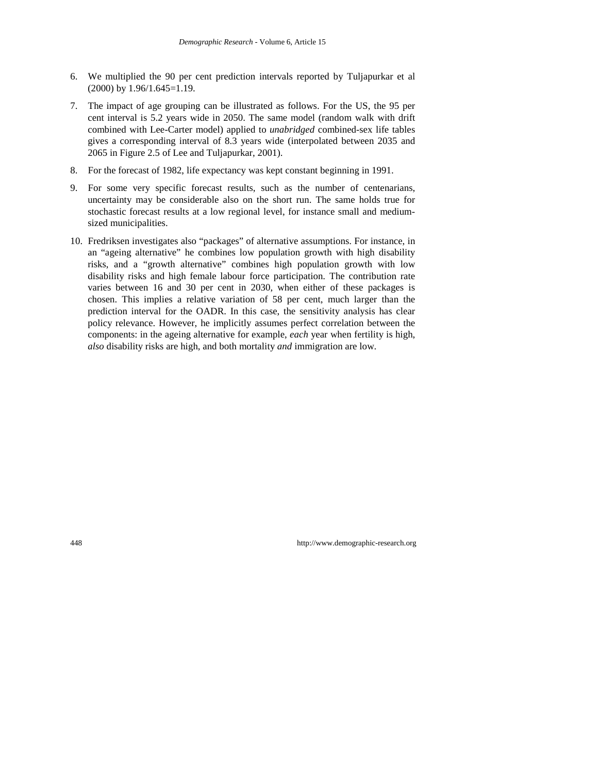- 6. We multiplied the 90 per cent prediction intervals reported by Tuljapurkar et al (2000) by 1.96/1.645=1.19.
- 7. The impact of age grouping can be illustrated as follows. For the US, the 95 per cent interval is 5.2 years wide in 2050. The same model (random walk with drift combined with Lee-Carter model) applied to *unabridged* combined-sex life tables gives a corresponding interval of 8.3 years wide (interpolated between 2035 and 2065 in Figure 2.5 of Lee and Tuljapurkar, 2001).
- 8. For the forecast of 1982, life expectancy was kept constant beginning in 1991.
- 9. For some very specific forecast results, such as the number of centenarians, uncertainty may be considerable also on the short run. The same holds true for stochastic forecast results at a low regional level, for instance small and mediumsized municipalities.
- 10. Fredriksen investigates also "packages" of alternative assumptions. For instance, in an "ageing alternative" he combines low population growth with high disability risks, and a "growth alternative" combines high population growth with low disability risks and high female labour force participation. The contribution rate varies between 16 and 30 per cent in 2030, when either of these packages is chosen. This implies a relative variation of 58 per cent, much larger than the prediction interval for the OADR. In this case, the sensitivity analysis has clear policy relevance. However, he implicitly assumes perfect correlation between the components: in the ageing alternative for example, *each* year when fertility is high, *also* disability risks are high, and both mortality *and* immigration are low.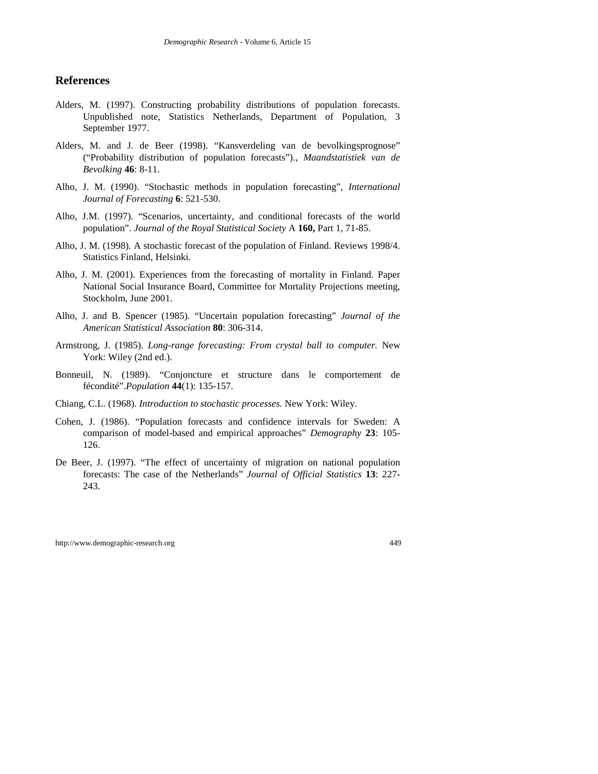### **References**

- Alders, M. (1997). Constructing probability distributions of population forecasts. Unpublished note, Statistics Netherlands, Department of Population, 3 September 1977.
- Alders, M. and J. de Beer (1998). "Kansverdeling van de bevolkingsprognose" ("Probability distribution of population forecasts")., *Maandstatistiek van de Bevolking* **46**: 8-11.
- Alho, J. M. (1990). "Stochastic methods in population forecasting", *International Journal of Forecasting* **6**: 521-530.
- Alho, J.M. (1997). "Scenarios, uncertainty, and conditional forecasts of the world population". *Journal of the Royal Statistical Society* A **160,** Part 1, 71-85.
- Alho, J. M. (1998). A stochastic forecast of the population of Finland. Reviews 1998/4. Statistics Finland, Helsinki.
- Alho, J. M. (2001). Experiences from the forecasting of mortality in Finland. Paper National Social Insurance Board, Committee for Mortality Projections meeting, Stockholm, June 2001.
- Alho, J. and B. Spencer (1985). "Uncertain population forecasting" *Journal of the American Statistical Association* **80**: 306-314.
- Armstrong, J. (1985). *Long-range forecasting: From crystal ball to computer.* New York: Wiley (2nd ed.).
- Bonneuil, N. (1989). "Conjoncture et structure dans le comportement de fécondité".*Population* **44**(1): 135-157.
- Chiang, C.L. (1968). *Introduction to stochastic processes.* New York: Wiley.
- Cohen, J. (1986). "Population forecasts and confidence intervals for Sweden: A comparison of model-based and empirical approaches" *Demography* **23**: 105- 126.
- De Beer, J. (1997). "The effect of uncertainty of migration on national population forecasts: The case of the Netherlands" *Journal of Official Statistics* **13**: 227- 243.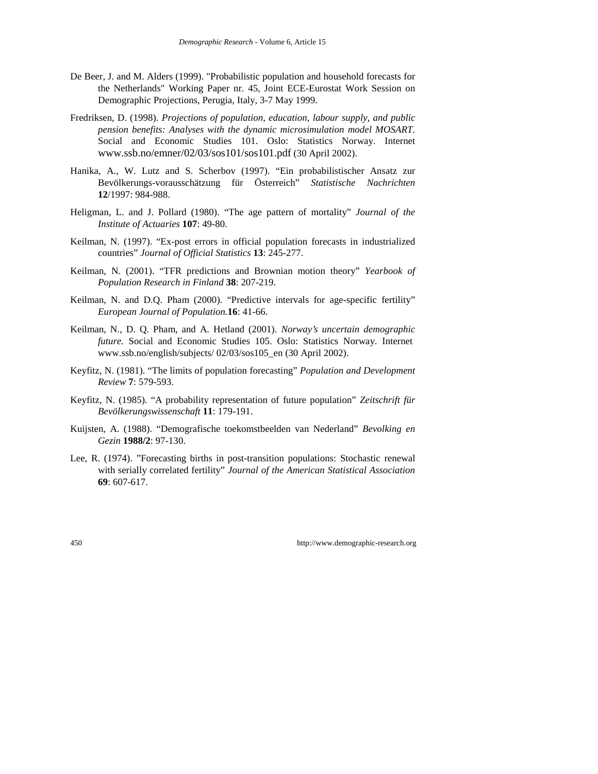- De Beer, J. and M. Alders (1999). "Probabilistic population and household forecasts for the Netherlands" Working Paper nr. 45, Joint ECE-Eurostat Work Session on Demographic Projections, Perugia, Italy, 3-7 May 1999.
- Fredriksen, D. (1998). *Projections of population, education, labour supply, and public pension benefits: Analyses with the dynamic microsimulation model MOSART.* Social and Economic Studies 101. Oslo: Statistics Norway. Internet www.ssb.no/emner/02/03/sos101/sos101.pdf (30 April 2002).
- Hanika, A., W. Lutz and S. Scherbov (1997). "Ein probabilistischer Ansatz zur Bevölkerungs-vorausschätzung für Österreich" *Statistische Nachrichten* **12**/1997: 984-988.
- Heligman, L. and J. Pollard (1980). "The age pattern of mortality" *Journal of the Institute of Actuaries* **107**: 49-80.
- Keilman, N. (1997). "Ex-post errors in official population forecasts in industrialized countries" *Journal of Official Statistics* **13**: 245-277.
- Keilman, N. (2001). "TFR predictions and Brownian motion theory" *Yearbook of Population Research in Finland* **38**: 207-219.
- Keilman, N. and D.Q. Pham (2000). "Predictive intervals for age-specific fertility" *European Journal of Population.***16**: 41-66.
- Keilman, N., D. Q. Pham, and A. Hetland (2001). *Norway's uncertain demographic future.* Social and Economic Studies 105. Oslo: Statistics Norway. Internet www.ssb.no/english/subjects/ 02/03/sos105\_en (30 April 2002).
- Keyfitz, N. (1981). "The limits of population forecasting" *Population and Development Review* **7**: 579-593.
- Keyfitz, N. (1985). "A probability representation of future population" *Zeitschrift für Bevölkerungswissenschaft* **11**: 179-191.
- Kuijsten, A. (1988). "Demografische toekomstbeelden van Nederland" *Bevolking en Gezin* **1988/2**: 97-130.
- Lee, R. (1974). "Forecasting births in post-transition populations: Stochastic renewal with serially correlated fertility" *Journal of the American Statistical Association* **69**: 607-617.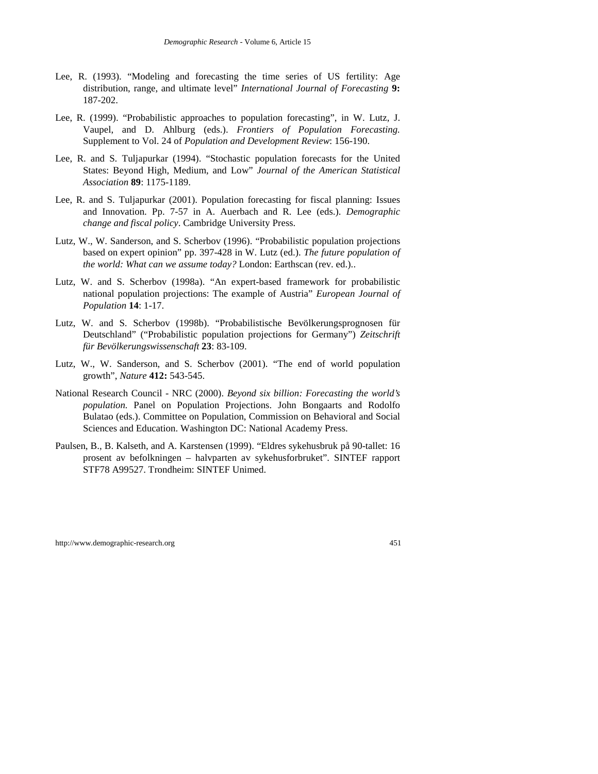- Lee, R. (1993). "Modeling and forecasting the time series of US fertility: Age distribution, range, and ultimate level" *International Journal of Forecasting* **9:** 187-202.
- Lee, R. (1999). "Probabilistic approaches to population forecasting", in W. Lutz, J. Vaupel, and D. Ahlburg (eds.). *Frontiers of Population Forecasting.* Supplement to Vol. 24 of *Population and Development Review*: 156-190.
- Lee, R. and S. Tuljapurkar (1994). "Stochastic population forecasts for the United States: Beyond High, Medium, and Low" *Journal of the American Statistical Association* **89**: 1175-1189.
- Lee, R. and S. Tuljapurkar (2001). Population forecasting for fiscal planning: Issues and Innovation. Pp. 7-57 in A. Auerbach and R. Lee (eds.). *Demographic change and fiscal policy*. Cambridge University Press.
- Lutz, W., W. Sanderson, and S. Scherbov (1996). "Probabilistic population projections based on expert opinion" pp. 397-428 in W. Lutz (ed.). *The future population of the world: What can we assume today?* London: Earthscan (rev. ed.)..
- Lutz, W. and S. Scherbov (1998a). "An expert-based framework for probabilistic national population projections: The example of Austria" *European Journal of Population* **14**: 1-17.
- Lutz, W. and S. Scherbov (1998b). "Probabilistische Bevölkerungsprognosen für Deutschland" ("Probabilistic population projections for Germany") *Zeitschrift für Bevölkerungswissenschaft* **23**: 83-109.
- Lutz, W., W. Sanderson, and S. Scherbov (2001). "The end of world population growth", *Nature* **412:** 543-545.
- National Research Council NRC (2000). *Beyond six billion: Forecasting the world's population.* Panel on Population Projections. John Bongaarts and Rodolfo Bulatao (eds.). Committee on Population, Commission on Behavioral and Social Sciences and Education. Washington DC: National Academy Press.
- Paulsen, B., B. Kalseth, and A. Karstensen (1999). "Eldres sykehusbruk på 90-tallet: 16 prosent av befolkningen – halvparten av sykehusforbruket". SINTEF rapport STF78 A99527. Trondheim: SINTEF Unimed.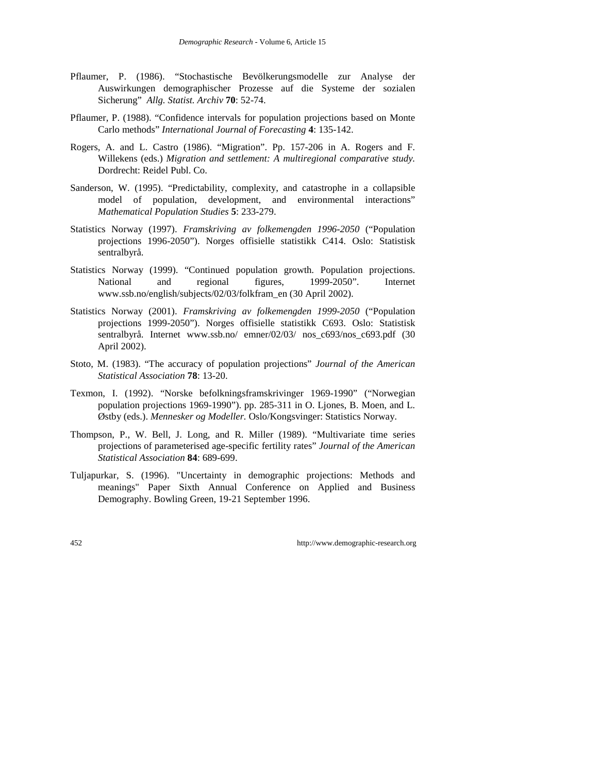- Pflaumer, P. (1986). "Stochastische Bevölkerungsmodelle zur Analyse der Auswirkungen demographischer Prozesse auf die Systeme der sozialen Sicherung" *Allg. Statist. Archiv* **70**: 52-74.
- Pflaumer, P. (1988). "Confidence intervals for population projections based on Monte Carlo methods" *International Journal of Forecasting* **4**: 135-142.
- Rogers, A. and L. Castro (1986). "Migration". Pp. 157-206 in A. Rogers and F. Willekens (eds.) *Migration and settlement: A multiregional comparative study.* Dordrecht: Reidel Publ. Co.
- Sanderson, W. (1995). "Predictability, complexity, and catastrophe in a collapsible model of population, development, and environmental interactions" *Mathematical Population Studies* **5**: 233-279.
- Statistics Norway (1997). *Framskriving av folkemengden 1996-2050* ("Population projections 1996-2050"). Norges offisielle statistikk C414. Oslo: Statistisk sentralbyrå.
- Statistics Norway (1999). "Continued population growth. Population projections. National and regional figures, 1999-2050". Internet www.ssb.no/english/subjects/02/03/folkfram\_en (30 April 2002).
- Statistics Norway (2001). *Framskriving av folkemengden 1999-2050* ("Population projections 1999-2050"). Norges offisielle statistikk C693. Oslo: Statistisk sentralbyrå. Internet www.ssb.no/ emner/02/03/ nos c693/nos c693.pdf (30 April 2002).
- Stoto, M. (1983). "The accuracy of population projections" *Journal of the American Statistical Association* **78**: 13-20.
- Texmon, I. (1992). "Norske befolkningsframskrivinger 1969-1990" ("Norwegian population projections 1969-1990"). pp. 285-311 in O. Ljones, B. Moen, and L. Østby (eds.). *Mennesker og Modeller.* Oslo/Kongsvinger: Statistics Norway.
- Thompson, P., W. Bell, J. Long, and R. Miller (1989). "Multivariate time series projections of parameterised age-specific fertility rates" *Journal of the American Statistical Association* **84**: 689-699.
- Tuljapurkar, S. (1996). "Uncertainty in demographic projections: Methods and meanings" Paper Sixth Annual Conference on Applied and Business Demography. Bowling Green, 19-21 September 1996.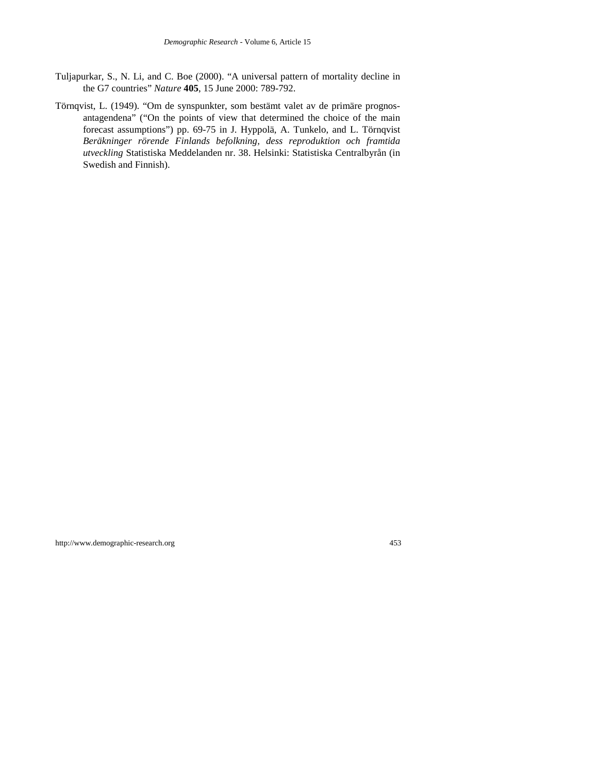- Tuljapurkar, S., N. Li, and C. Boe (2000). "A universal pattern of mortality decline in the G7 countries" *Nature* **405**, 15 June 2000: 789-792.
- Törnqvist, L. (1949). "Om de synspunkter, som bestämt valet av de primäre prognosantagendena" ("On the points of view that determined the choice of the main forecast assumptions") pp. 69-75 in J. Hyppolä, A. Tunkelo, and L. Törnqvist *Beräkninger rörende Finlands befolkning, dess reproduktion och framtida utveckling* Statistiska Meddelanden nr. 38. Helsinki: Statistiska Centralbyrån (in Swedish and Finnish).